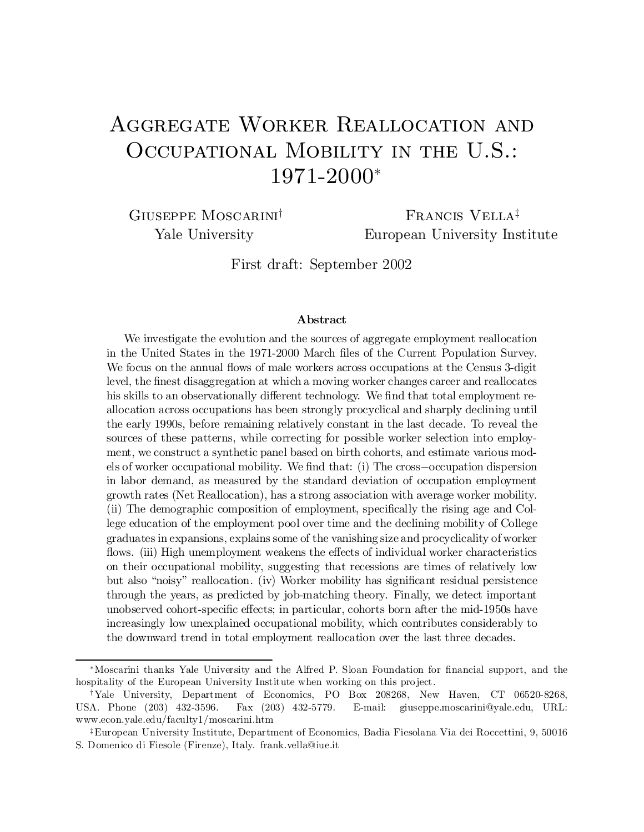# Aggregate Worker Reallocation and OCCUPATIONAL MOBILITY IN THE U.S.: 1971-2000 ¤

Giuseppe Moscarini

<sup>†</sup> FRANCIS VELLA<sup>‡</sup> Yale University European University Institute

First draft: September 2002

#### Abstract

We investigate the evolution and the sources of aggregate employment reallocation in the United States in the 1971-2000 March files of the Current Population Survey. We focus on the annual flows of male workers across occupations at the Census 3-digit level, the finest disaggregation at which a moving worker changes career and reallocates his skills to an observationally different technology. We find that total employment reallocation across occupations has been strongly procyclical and sharply declining until the early 1990s, before remaining relatively constant in the last decade. To reveal the sources of these patterns, while correcting for possible worker selection into employment, we construct a synthetic panel based on birth cohorts, and estimate various models of worker occupational mobility. We find that: (i) The cross-occupation dispersion in labor demand, as measured by the standard deviation of occupation employment growth rates (Net Reallocation), has a strong association with average worker mobility.  $(iii)$  The demographic composition of employment, specifically the rising age and College education of the employment pool over time and the declining mobility of College graduates in expansions, explains some of the vanishing size and procyclicality of worker flows. (iii) High unemployment weakens the effects of individual worker characteristics on their occupational mobility, suggesting that recessions are times of relatively low but also "noisy" reallocation. (iv) Worker mobility has significant residual persistence through the years, as predicted by job-matching theory. Finally, we detect important unobserved cohort-specific effects; in particular, cohorts born after the mid-1950s have increasingly low unexplained occupational mobility, which contributes considerably to the downward trend in total employment reallocation over the last three decades.

<sup>¤</sup>Moscarini thanks Yale University and the Alfred P. Sloan Foundation for ¯nancial support, and the hospitality of the European University Institute when working on this project.

<sup>&</sup>lt;sup>†</sup>Yale University, Department of Economics, PO Box 208268, New Haven, CT 06520-8268, USA. Phone (203) 432-3596. Fax (203) 432-5779. E-mail: giuseppe.moscarini@yale.edu, URL: www.econ.yale.edu/faculty1/moscarini.htm

<sup>z</sup>European University Institute, Department of Economics, Badia Fiesolana Via dei Roccettini, 9, 50016 S. Domenico di Fiesole (Firenze), Italy. frank.vella@iue.it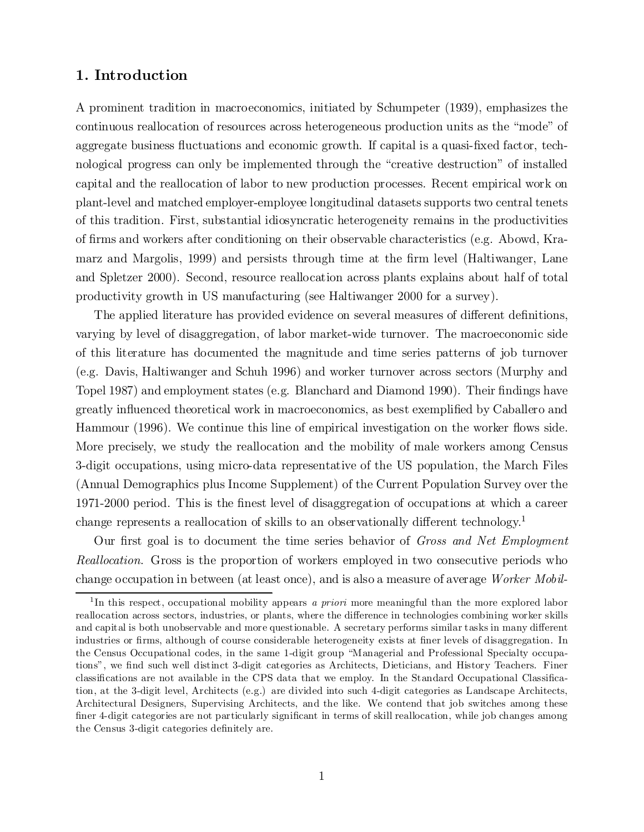## 1. Introduction

A prominent tradition in macroeconomics, initiated by Schumpeter (1939), emphasizes the continuous reallocation of resources across heterogeneous production units as the \mode" of aggregate business fluctuations and economic growth. If capital is a quasi-fixed factor, technological progress can only be implemented through the "creative destruction" of installed capital and the reallocation of labor to new production processes. Recent empirical work on plant-level and matched employer-employee longitudinal datasets supports two central tenets of this tradition. First, substantial idiosyncratic heterogeneity remains in the productivities of firms and workers after conditioning on their observable characteristics (e.g. Abowd, Kramarz and Margolis, 1999) and persists through time at the firm level (Haltiwanger, Lane and Spletzer 2000). Second, resource reallocation across plants explains about half of total productivity growth in US manufacturing (see Haltiwanger 2000 for a survey).

The applied literature has provided evidence on several measures of different definitions, varying by level of disaggregation, of labor market-wide turnover. The macroeconomic side of this literature has documented the magnitude and time series patterns of job turnover (e.g. Davis, Haltiwanger and Schuh 1996) and worker turnover across sectors (Murphy and Topel 1987) and employment states (e.g. Blanchard and Diamond 1990). Their findings have greatly influenced theoretical work in macroeconomics, as best exemplified by Caballero and Hammour (1996). We continue this line of empirical investigation on the worker flows side. More precisely, we study the reallocation and the mobility of male workers among Census 3-digit occupations, using micro-data representative of the US population, the March Files (Annual Demographics plus Income Supplement) of the Current Population Survey over the 1971-2000 period. This is the finest level of disaggregation of occupations at which a career change represents a reallocation of skills to an observationally different technology.<sup>1</sup>

Our first goal is to document the time series behavior of Gross and Net Employment Reallocation. Gross is the proportion of workers employed in two consecutive periods who change occupation in between (at least once), and is also a measure of average Worker Mobil-

<sup>&</sup>lt;sup>1</sup>In this respect, occupational mobility appears a priori more meaningful than the more explored labor reallocation across sectors, industries, or plants, where the difference in technologies combining worker skills and capital is both unobservable and more questionable. A secretary performs similar tasks in many different industries or firms, although of course considerable heterogeneity exists at finer levels of disaggregation. In the Census Occupational codes, in the same 1-digit group \Managerial and Professional Specialty occupations", we find such well distinct 3-digit categories as Architects, Dieticians, and History Teachers. Finer classifications are not available in the CPS data that we employ. In the Standard Occupational Classification, at the 3-digit level, Architects (e.g.) are divided into such 4-digit categories as Landscape Architects, Architectural Designers, Supervising Architects, and the like. We contend that job switches among these finer 4-digit categories are not particularly significant in terms of skill reallocation, while job changes among the Census 3-digit categories definitely are.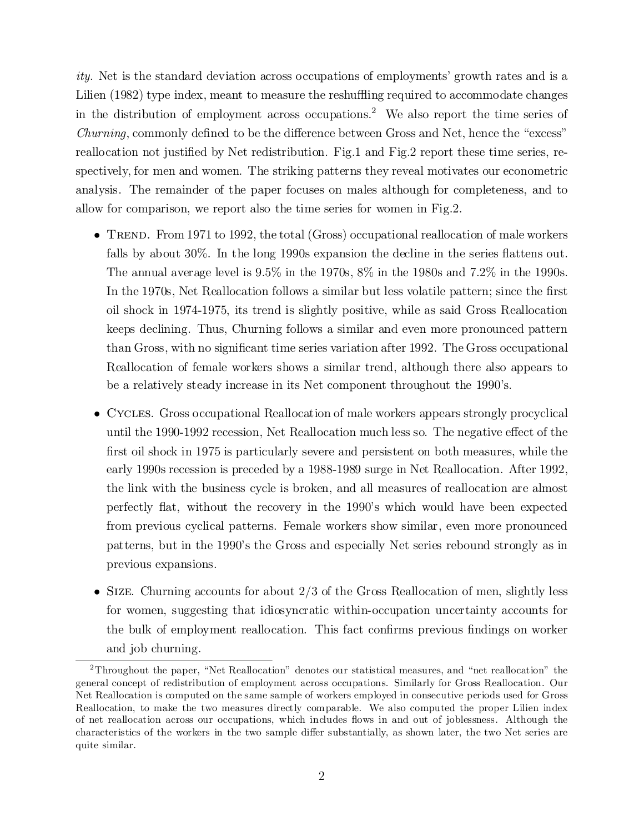ity. Net is the standard deviation across occupations of employments' growth rates and is a Lilien  $(1982)$  type index, meant to measure the reshuffling required to accommodate changes in the distribution of employment across occupations. <sup>2</sup> We also report the time series of  $Churning$ , commonly defined to be the difference between Gross and Net, hence the "excess" reallocation not justified by Net redistribution. Fig.1 and Fig.2 report these time series, respectively, for men and women. The striking patterns they reveal motivates our econometric analysis. The remainder of the paper focuses on males although for completeness, and to allow for comparison, we report also the time series for women in Fig.2.

- TREND. From 1971 to 1992, the total (Gross) occupational reallocation of male workers falls by about  $30\%$ . In the long 1990s expansion the decline in the series flattens out. The annual average level is  $9.5\%$  in the 1970s,  $8\%$  in the 1980s and 7.2% in the 1990s. In the 1970s, Net Reallocation follows a similar but less volatile pattern; since the first oil shock in 1974-1975, its trend is slightly positive, while as said Gross Reallocation keeps declining. Thus, Churning follows a similar and even more pronounced pattern than Gross, with no significant time series variation after 1992. The Gross occupational Reallocation of female workers shows a similar trend, although there also appears to be a relatively steady increase in its Net component throughout the 1990's.
- Cycles. Gross occupational Reallocation of male workers appears strongly procyclical until the 1990-1992 recession, Net Reallocation much less so. The negative effect of the first oil shock in 1975 is particularly severe and persistent on both measures, while the early 1990s recession is preceded by a 1988-1989 surge in Net Reallocation. After 1992, the link with the business cycle is broken, and all measures of reallocation are almost perfectly flat, without the recovery in the 1990's which would have been expected from previous cyclical patterns. Female workers show similar, even more pronounced patterns, but in the 1990's the Gross and especially Net series rebound strongly as in previous expansions.
- $\bullet$  SIZE. Churning accounts for about 2/3 of the Gross Reallocation of men, slightly less for women, suggesting that idiosyncratic within-occupation uncertainty accounts for the bulk of employment reallocation. This fact confirms previous findings on worker and job churning.

<sup>&</sup>lt;sup>2</sup>Throughout the paper, "Net Reallocation" denotes our statistical measures, and "net reallocation" the general concept of redistribution of employment across occupations. Similarly for Gross Reallocation. Our Net Reallocation is computed on the same sample of workers employed in consecutive periods used for Gross Reallocation, to make the two measures directly comparable. We also computed the proper Lilien index of net reallocation across our occupations, which includes flows in and out of joblessness. Although the characteristics of the workers in the two sample differ substantially, as shown later, the two Net series are quite similar.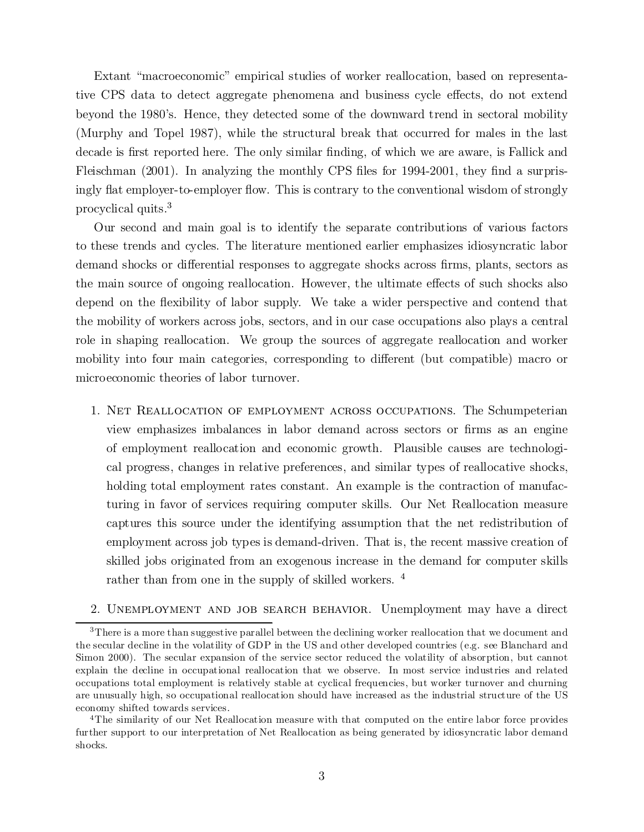Extant "macroeconomic" empirical studies of worker reallocation, based on representative CPS data to detect aggregate phenomena and business cycle effects, do not extend beyond the 1980's. Hence, they detected some of the downward trend in sectoral mobility (Murphy and Topel 1987), while the structural break that occurred for males in the last decade is first reported here. The only similar finding, of which we are aware, is Fallick and Fleischman  $(2001)$ . In analyzing the monthly CPS files for 1994-2001, they find a surprisingly flat employer-to-employer flow. This is contrary to the conventional wisdom of strongly procyclical quits. 3

Our second and main goal is to identify the separate contributions of various factors to these trends and cycles. The literature mentioned earlier emphasizes idiosyncratic labor demand shocks or differential responses to aggregate shocks across firms, plants, sectors as the main source of ongoing reallocation. However, the ultimate effects of such shocks also depend on the flexibility of labor supply. We take a wider perspective and contend that the mobility of workers across jobs, sectors, and in our case occupations also plays a central role in shaping reallocation. We group the sources of aggregate reallocation and worker mobility into four main categories, corresponding to different (but compatible) macro or microeconomic theories of labor turnover.

1. Net Reallocation of employment across occupations. The Schumpeterian view emphasizes imbalances in labor demand across sectors or ¯rms as an engine of employment reallocation and economic growth. Plausible causes are technological progress, changes in relative preferences, and similar types of reallocative shocks, holding total employment rates constant. An example is the contraction of manufacturing in favor of services requiring computer skills. Our Net Reallocation measure captures this source under the identifying assumption that the net redistribution of employment across job types is demand-driven. That is, the recent massive creation of skilled jobs originated from an exogenous increase in the demand for computer skills rather than from one in the supply of skilled workers.<sup>4</sup>

## 2. Unemployment and job search behavior. Unemployment may have a direct

<sup>&</sup>lt;sup>3</sup>There is a more than suggestive parallel between the declining worker reallocation that we document and the secular decline in the volatility of GDP in the US and other developed countries (e.g. see Blanchard and Simon 2000). The secular expansion of the service sector reduced the volatility of absorption, but cannot explain the decline in occupational reallocation that we observe. In most service industries and related occupations total employment is relatively stable at cyclical frequencies, but worker turnover and churning are unusually high, so occupational reallocation should have increased as the industrial structure of the US economy shifted towards services.

<sup>4</sup>The similarity of our Net Reallocation measure with that computed on the entire labor force provides further support to our interpretation of Net Reallocation as being generated by idiosyncratic labor demand shocks.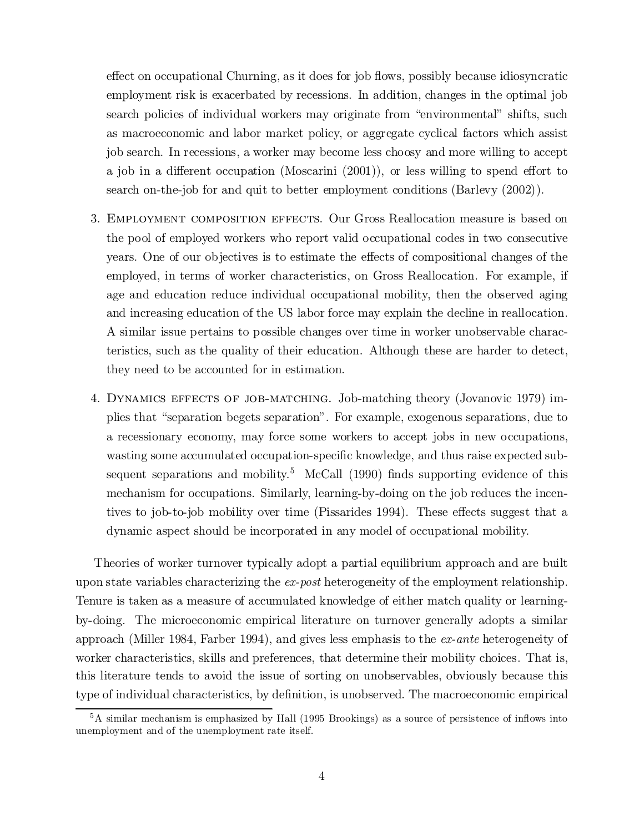effect on occupational Churning, as it does for job flows, possibly because idiosyncratic employment risk is exacerbated by recessions. In addition, changes in the optimal job search policies of individual workers may originate from "environmental" shifts, such as macroeconomic and labor market policy, or aggregate cyclical factors which assist job search. In recessions, a worker may become less choosy and more willing to accept a job in a different occupation (Moscarini  $(2001)$ ), or less willing to spend effort to search on-the-job for and quit to better employment conditions (Barlevy (2002)).

- 3. Employment composition effects. Our Gross Reallocation measure is based on the pool of employed workers who report valid occupational codes in two consecutive years. One of our objectives is to estimate the effects of compositional changes of the employed, in terms of worker characteristics, on Gross Reallocation. For example, if age and education reduce individual occupational mobility, then the observed aging and increasing education of the US labor force may explain the decline in reallocation. A similar issue pertains to possible changes over time in worker unobservable characteristics, such as the quality of their education. Although these are harder to detect, they need to be accounted for in estimation.
- 4. Dynamics effects of job-matching. Job-matching theory (Jovanovic 1979) implies that "separation begets separation". For example, exogenous separations, due to a recessionary economy, may force some workers to accept jobs in new occupations, wasting some accumulated occupation-specific knowledge, and thus raise expected subsequent separations and mobility.<sup>5</sup> McCall  $(1990)$  finds supporting evidence of this mechanism for occupations. Similarly, learning-by-doing on the job reduces the incentives to job-to-job mobility over time (Pissarides 1994). These effects suggest that a dynamic aspect should be incorporated in any model of occupational mobility.

Theories of worker turnover typically adopt a partial equilibrium approach and are built upon state variables characterizing the ex-post heterogeneity of the employment relationship. Tenure is taken as a measure of accumulated knowledge of either match quality or learningby-doing. The microeconomic empirical literature on turnover generally adopts a similar approach (Miller 1984, Farber 1994), and gives less emphasis to the ex-ante heterogeneity of worker characteristics, skills and preferences, that determine their mobility choices. That is, this literature tends to avoid the issue of sorting on unobservables, obviously because this type of individual characteristics, by definition, is unobserved. The macroeconomic empirical

 $5A$  similar mechanism is emphasized by Hall (1995 Brookings) as a source of persistence of inflows into unemployment and of the unemployment rate itself.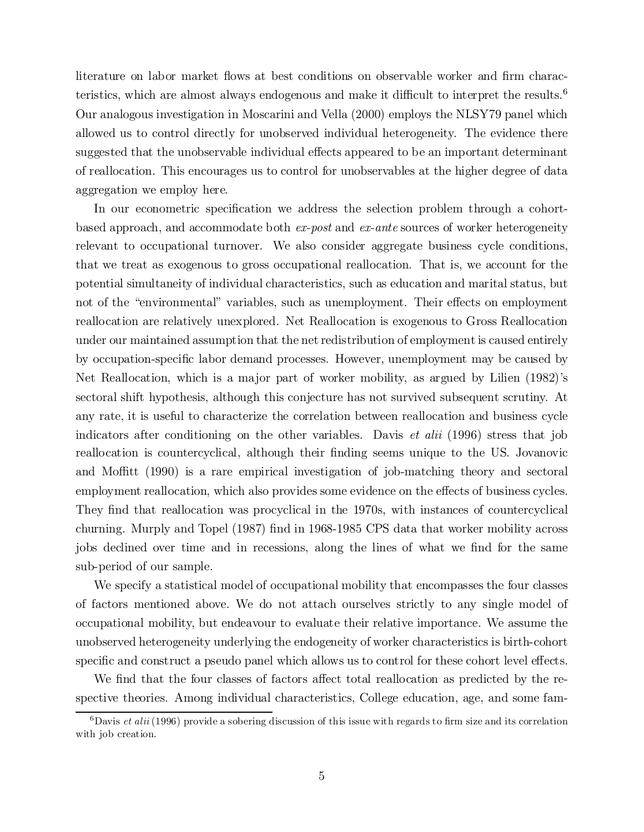literature on labor market flows at best conditions on observable worker and firm characteristics, which are almost always endogenous and make it difficult to interpret the results.<sup>6</sup> Our analogous investigation in Moscarini and Vella (2000) employs the NLSY79 panel which allowed us to control directly for unobserved individual heterogeneity. The evidence there suggested that the unobservable individual effects appeared to be an important determinant of reallocation. This encourages us to control for unobservables at the higher degree of data aggregation we employ here.

In our econometric specification we address the selection problem through a cohortbased approach, and accommodate both ex-post and ex-ante sources of worker heterogeneity relevant to occupational turnover. We also consider aggregate business cycle conditions, that we treat as exogenous to gross occupational reallocation. That is, we account for the potential simultaneity of individual characteristics, such as education and marital status, but not of the "environmental" variables, such as unemployment. Their effects on employment reallocation are relatively unexplored. Net Reallocation is exogenous to Gross Reallocation under our maintained assumption that the netredistribution of employmentis caused entirely by occupation-specific labor demand processes. However, unemployment may be caused by Net Reallocation, which is a major part of worker mobility, as argued by Lilien (1982)'s sectoral shift hypothesis, although this conjecture has not survived subsequent scrutiny. At any rate, it is useful to characterize the correlation between reallocation and business cycle indicators after conditioning on the other variables. Davis et alii (1996) stress that job reallocation is countercyclical, although their finding seems unique to the US. Jovanovic and Moffitt (1990) is a rare empirical investigation of job-matching theory and sectoral employment reallocation, which also provides some evidence on the effects of business cycles. They find that reallocation was procyclical in the 1970s, with instances of countercyclical churning. Murply and Topel (1987) find in 1968-1985 CPS data that worker mobility across jobs declined over time and in recessions, along the lines of what we find for the same sub-period of our sample.

We specify a statistical model of occupational mobility that encompasses the four classes of factors mentioned above. We do not attach ourselves strictly to any single model of occupational mobility, but endeavour to evaluate their relative importance. We assume the unobserved heterogeneity underlying the endogeneity of worker characteristics is birth-cohort specific and construct a pseudo panel which allows us to control for these cohort level effects.

We find that the four classes of factors affect total reallocation as predicted by the respective theories. Among individual characteristics, College education, age, and some fam-

 $6$ Davis *et alii* (1996) provide a sobering discussion of this issue with regards to firm size and its correlation with job creation.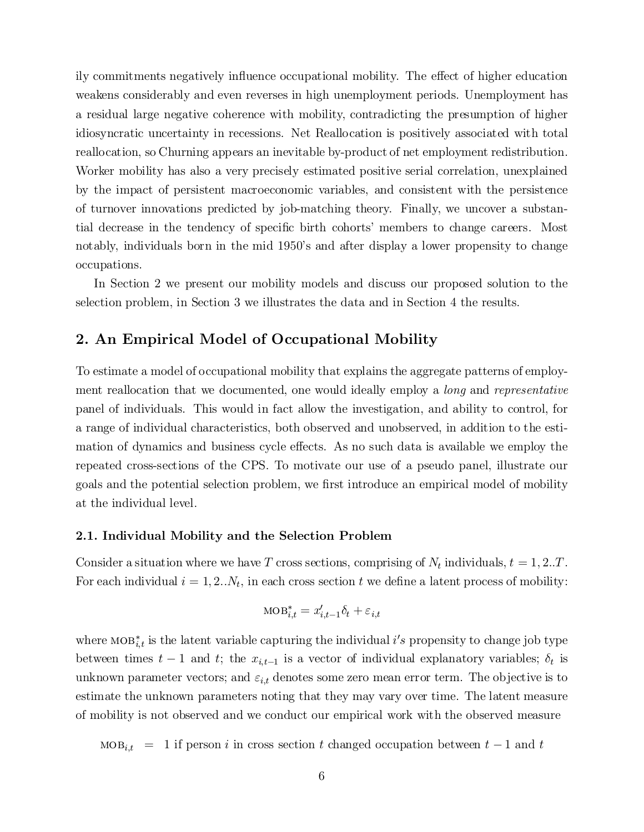ily commitments negatively influence occupational mobility. The effect of higher education weakens considerably and even reverses in high unemployment periods. Unemployment has a residual large negative coherence with mobility, contradicting the presumption of higher idiosyncratic uncertainty in recessions. Net Reallocation is positively associated with total reallocation, so Churning appears an inevitable by-product of net employment redistribution. Worker mobility has also a very precisely estimated positive serial correlation, unexplained by the impact of persistent macroeconomic variables, and consistent with the persistence of turnover innovations predicted by job-matching theory. Finally, we uncover a substantial decrease in the tendency of specific birth cohorts' members to change careers. Most notably, individuals born in the mid 1950's and after display a lower propensity to change occupations.

In Section 2 we present our mobility models and discuss our proposed solution to the selection problem, in Section 3 we illustrates the data and in Section 4 the results.

## 2. An Empirical Model of Occupational Mobility

To estimate a model of occupational mobility that explains the aggregate patterns of employment reallocation that we documented, one would ideally employ a *long* and *representative* panel of individuals. This would in fact allow the investigation, and ability to control, for a range of individual characteristics, both observed and unobserved, in addition to the estimation of dynamics and business cycle effects. As no such data is available we employ the repeated cross-sections of the CPS. To motivate our use of a pseudo panel, illustrate our goals and the potential selection problem, we first introduce an empirical model of mobility at the individual level.

#### 2.1. Individual Mobility and the Selection Problem

Consider a situation where we have T cross sections, comprising of  $N_t$  individuals,  $t = 1, 2...T$ . For each individual  $i = 1, 2...N_t$ , in each cross section t we define a latent process of mobility:

$$
\text{MOB}_{i,t}^* = x_{i,t-1}'\delta_t + \varepsilon_{i,t}
$$

where  $\text{MOB}_{i,t}^*$  is the latent variable capturing the individual i's propensity to change job type between times  $t-1$  and  $t$ ; the  $x_{i,t-1}$  is a vector of individual explanatory variables;  $\delta_t$  is unknown parameter vectors; and  $\varepsilon_{i,t}$  denotes some zero mean error term. The objective is to estimate the unknown parameters noting that they may vary over time. The latent measure of mobility is not observed and we conduct our empirical work with the observed measure

 $\text{MOB}_{i,t}$  = 1 if person i in cross section t changed occupation between  $t-1$  and t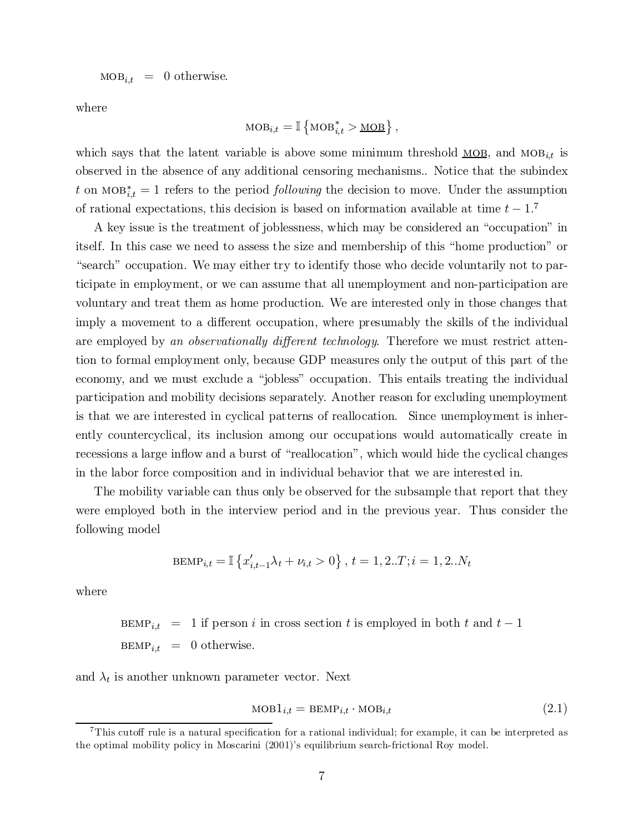$\text{MOB}_{i,t} = 0$  otherwise.

where

$$
MOB_{i,t} = \mathbb{I} \left\{ \text{MOB}_{i,t}^* > \underline{MOB} \right\},\
$$

which says that the latent variable is above some minimum threshold  $\mathbf{MOB}_i$ , and  $\mathbf{MOB}_{i,t}$  is observed in the absence of any additional censoring mechanisms.. Notice that the subindex t on MOB<sup>\*</sup><sub>i</sub> $t = 1$  refers to the period *following* the decision to move. Under the assumption of rational expectations, this decision is based on information available at time  $t - 1$ .<sup>7</sup>

A key issue is the treatment of joblessness, which may be considered an "occupation" in itself. In this case we need to assess the size and membership of this \home production" or "search" occupation. We may either try to identify those who decide voluntarily not to participate in employment, or we can assume that all unemployment and non-participation are voluntary and treat them as home production. We are interested only in those changes that imply a movement to a different occupation, where presumably the skills of the individual are employed by an observationally different technology. Therefore we must restrict attention to formal employment only, because GDP measures only the output of this part of the economy, and we must exclude a "jobless" occupation. This entails treating the individual participation and mobility decisions separately. Another reason for excluding unemployment is that we are interested in cyclical patterns of reallocation. Since unemployment is inherently countercyclical, its inclusion among our occupations would automatically create in recessions a large inflow and a burst of "reallocation", which would hide the cyclical changes in the labor force composition and in individual behavior that we are interested in.

The mobility variable can thus only be observed for the subsample that report that they were employed both in the interview period and in the previous year. Thus consider the following model

$$
\text{BEMP}_{i,t} = \mathbb{I} \left\{ x'_{i,t-1} \lambda_t + \nu_{i,t} > 0 \right\}, t = 1, 2..T; i = 1, 2..N_t
$$

where

BEMP<sub>i,t</sub> = 1 if person *i* in cross section *t* is employed in both *t* and 
$$
t - 1
$$
  
BEMP<sub>i,t</sub> = 0 otherwise.

and  $\lambda_t$  is another unknown parameter vector. Next

$$
MOB1_{i,t} = BEMP_{i,t} \cdot MOB_{i,t}
$$
\n
$$
(2.1)
$$

 $^7$ This cutoff rule is a natural specification for a rational individual; for example, it can be interpreted as the optimal mobility policy in Moscarini (2001)'s equilibrium search-frictional Roy model.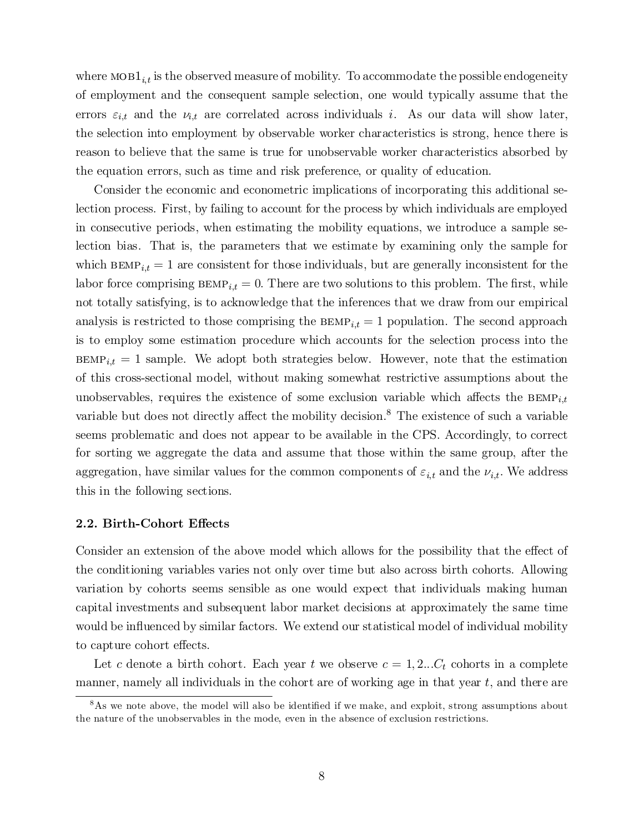where  $\text{MOB1}_{i,t}$  is the observed measure of mobility. To accommodate the possible endogeneity of employment and the consequent sample selection, one would typically assume that the errors  $\varepsilon_{i,t}$  and the  $\nu_{i,t}$  are correlated across individuals i. As our data will show later, the selection into employment by observable worker characteristics is strong, hence there is reason to believe that the same is true for unobservable worker characteristics absorbed by the equation errors, such as time and risk preference, or quality of education.

Consider the economic and econometric implications of incorporating this additional selection process. First, by failing to account for the process by which individuals are employed in consecutive periods, when estimating the mobility equations, we introduce a sample selection bias. That is, the parameters that we estimate by examining only the sample for which  $BEMP_{it} = 1$  are consistent for those individuals, but are generally inconsistent for the labor force comprising  $BEMP_{i,t} = 0$ . There are two solutions to this problem. The first, while not totally satisfying, is to acknowledge that the inferences that we draw from our empirical analysis is restricted to those comprising the  $BEMP_{i,t} = 1$  population. The second approach is to employ some estimation procedure which accounts for the selection process into the  $BEMP_{i,t} = 1$  sample. We adopt both strategies below. However, note that the estimation of this cross-sectional model, without making somewhat restrictive assumptions about the unobservables, requires the existence of some exclusion variable which affects the  $BEMP_{i,t}$ variable but does not directly affect the mobility decision.<sup>8</sup> The existence of such a variable seems problematic and does not appear to be available in the CPS. Accordingly, to correct for sorting we aggregate the data and assume that those within the same group, after the aggregation, have similar values for the common components of  $\varepsilon_{i,t}$  and the  $\nu_{i,t}$ . We address this in the following sections.

#### 2.2. Birth-Cohort Effects

Consider an extension of the above model which allows for the possibility that the effect of the conditioning variables varies not only over time but also across birth cohorts. Allowing variation by cohorts seems sensible as one would expect that individuals making human capital investments and subsequent labor market decisions at approximately the same time would be influenced by similar factors. We extend our statistical model of individual mobility to capture cohort effects.

Let c denote a birth cohort. Each year t we observe  $c = 1, 2...C_t$  cohorts in a complete manner, namely all individuals in the cohort are of working age in that year  $t$ , and there are

 $8\text{As}$  we note above, the model will also be identified if we make, and exploit, strong assumptions about the nature of the unobservables in the mode, even in the absence of exclusion restrictions.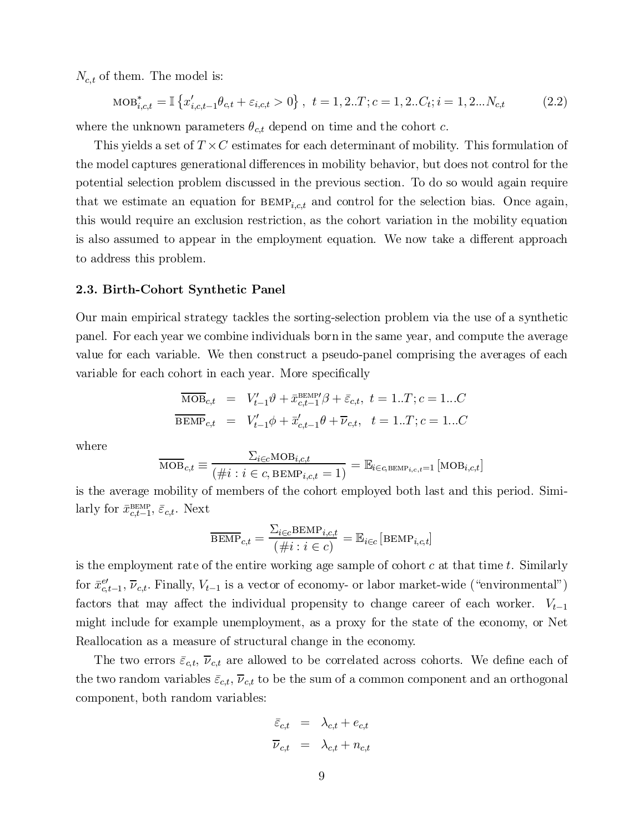$N_{c,t}$  of them. The model is:

$$
\text{MOB}_{i,c,t}^* = \mathbb{I}\left\{x_{i,c,t-1}'\theta_{c,t} + \varepsilon_{i,c,t} > 0\right\}, \ t = 1, 2..T; c = 1, 2..C_t; i = 1, 2...N_{c,t} \tag{2.2}
$$

where the unknown parameters  $\theta_{c,t}$  depend on time and the cohort c.

This yields a set of  $T \times C$  estimates for each determinant of mobility. This formulation of the model captures generational differences in mobility behavior, but does not control for the potential selection problem discussed in the previous section. To do so would again require that we estimate an equation for  $BEMP_{i,c,t}$  and control for the selection bias. Once again, this would require an exclusion restriction, as the cohort variation in the mobility equation is also assumed to appear in the employment equation. We now take a different approach to address this problem.

#### 2.3. Birth-Cohort Synthetic Panel

Our main empirical strategy tackles the sorting-selection problem via the use of a synthetic panel. For each year we combine individuals born in the same year, and compute the average value for each variable. We then construct a pseudo-panel comprising the averages of each variable for each cohort in each year. More specifically

$$
\overline{\text{MOB}}_{c,t} = V'_{t-1}\theta + \bar{x}_{c,t-1}^{\text{BEMP} \prime}\beta + \bar{\varepsilon}_{c,t}, \ t = 1..T; c = 1...C
$$
\n
$$
\overline{\text{BEMP}}_{c,t} = V'_{t-1}\phi + \bar{x}'_{c,t-1}\theta + \overline{\nu}_{c,t}, \ t = 1..T; c = 1...C
$$

where

$$
\overline{\text{MOB}}_{c,t} \equiv \frac{\Sigma_{i \in c} \text{MOB}_{i,c,t}}{(\#i : i \in c, \text{BEMP}_{i,c,t} = 1)} = \mathbb{E}_{i \in c, \text{BEMP}_{i,c,t} = 1} [\text{MOB}_{i,c,t}]
$$

is the average mobility of members of the cohort employed both last and this period. Similarly for  $\bar{x}_{c,t-1}^{\text{BEMP}}, \bar{\varepsilon}_{c,t}$ . Next

$$
\overline{\text{BEMP}}_{c,t} = \frac{\sum_{i \in c} \text{BEMP}_{i,c,t}}{(\#i : i \in c)} = \mathbb{E}_{i \in c} [\text{BEMP}_{i,c,t}]
$$

is the employment rate of the entire working age sample of cohort  $c$  at that time  $t$ . Similarly for  $\bar{x}_{c,t-1}^{e'}$ ,  $\bar{\nu}_{c,t}$ . Finally,  $V_{t-1}$  is a vector of economy- or labor market-wide ("environmental") factors that may affect the individual propensity to change career of each worker.  $V_{t-1}$ might include for example unemployment, as a proxy for the state of the economy, or Net Reallocation as a measure of structural change in the economy.

The two errors  $\bar{\varepsilon}_{c,t}$ ,  $\bar{\nu}_{c,t}$  are allowed to be correlated across cohorts. We define each of the two random variables  $\bar{\varepsilon}_{c,t}$ ,  $\bar{\nu}_{c,t}$  to be the sum of a common component and an orthogonal component, both random variables:

$$
\begin{array}{rcl}\n\bar{\varepsilon}_{c,t} & = & \lambda_{c,t} + e_{c,t} \\
\overline{\nu}_{c,t} & = & \lambda_{c,t} + n_{c,t}\n\end{array}
$$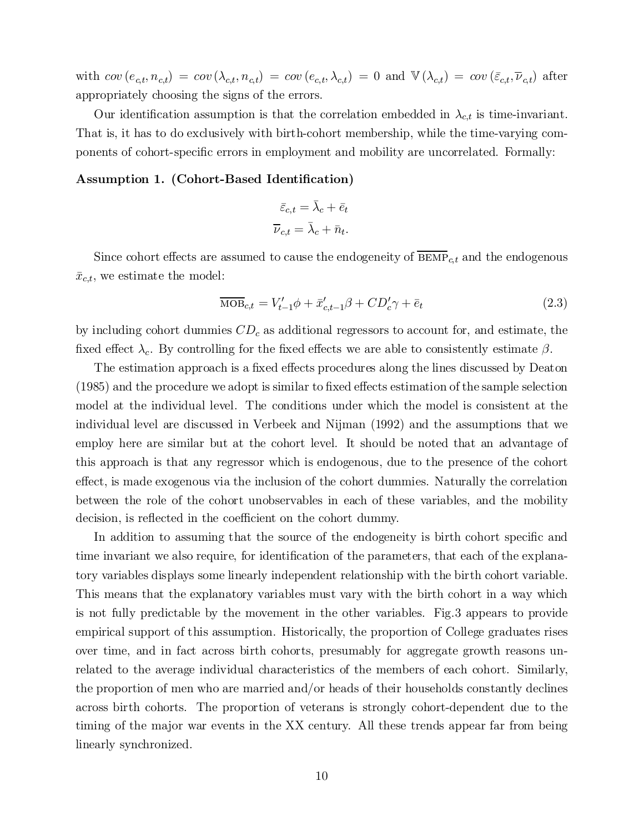with  $cov(e_{c,t}, n_{c,t}) = cov(\lambda_{c,t}, n_{c,t}) = cov(e_{c,t}, \lambda_{c,t}) = 0$  and  $\mathbb{V}(\lambda_{c,t}) = cov(\bar{\varepsilon}_{c,t}, \bar{\nu}_{c,t})$  after appropriately choosing the signs of the errors.

Our identification assumption is that the correlation embedded in  $\lambda_{c,t}$  is time-invariant. That is, it has to do exclusively with birth-cohort membership, while the time-varying components of cohort-specific errors in employment and mobility are uncorrelated. Formally:

### Assumption 1. (Cohort-Based Identification)

$$
\bar{\varepsilon}_{c,t} = \bar{\lambda}_c + \bar{e}_t
$$

$$
\bar{\nu}_{c,t} = \bar{\lambda}_c + \bar{n}_t.
$$

Since cohort effects are assumed to cause the endogeneity of  $\overline{\text{BEMP}}_{c,t}$  and the endogenous  $\bar{x}_{c,t}$ , we estimate the model:

$$
\overline{\text{MOB}}_{c,t} = V'_{t-1}\phi + \bar{x}'_{c,t-1}\beta + CD'_{c}\gamma + \bar{e}_t
$$
\n(2.3)

by including cohort dummies  $CD<sub>c</sub>$  as additional regressors to account for, and estimate, the fixed effect  $\lambda_c$ . By controlling for the fixed effects we are able to consistently estimate  $\beta$ .

The estimation approach is a fixed effects procedures along the lines discussed by Deaton  $(1985)$  and the procedure we adopt is similar to fixed effects estimation of the sample selection model at the individual level. The conditions under which the model is consistent at the individual level are discussed in Verbeek and Nijman (1992) and the assumptions that we employ here are similar but at the cohort level. It should be noted that an advantage of this approach is that any regressor which is endogenous, due to the presence of the cohort effect, is made exogenous via the inclusion of the cohort dummies. Naturally the correlation between the role of the cohort unobservables in each of these variables, and the mobility decision, is reflected in the coefficient on the cohort dummy.

In addition to assuming that the source of the endogeneity is birth cohort specific and time invariant we also require, for identification of the parameters, that each of the explanatory variables displays some linearly independent relationship with the birth cohort variable. This means that the explanatory variables must vary with the birth cohort in a way which is not fully predictable by the movement in the other variables. Fig.3 appears to provide empirical support of this assumption. Historically, the proportion of College graduates rises over time, and in fact across birth cohorts, presumably for aggregate growth reasons unrelated to the average individual characteristics of the members of each cohort. Similarly, the proportion of men who are married and/or heads of their households constantly declines across birth cohorts. The proportion of veterans is strongly cohort-dependent due to the timing of the major war events in the XX century. All these trends appear far from being linearly synchronized.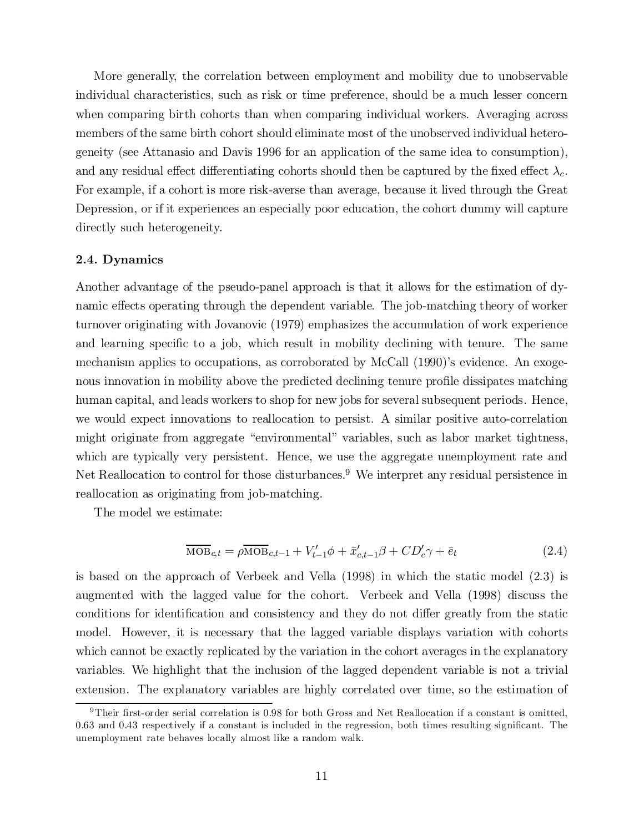More generally, the correlation between employment and mobility due to unobservable individual characteristics, such as risk or time preference, should be a much lesser concern when comparing birth cohorts than when comparing individual workers. Averaging across members of the same birth cohort should eliminate most of the unobserved individual heterogeneity (see Attanasio and Davis 1996 for an application of the same idea to consumption), and any residual effect differentiating cohorts should then be captured by the fixed effect  $\lambda_c$ . For example, if a cohort is more risk-averse than average, because it lived through the Great Depression, or if it experiences an especially poor education, the cohort dummy will capture directly such heterogeneity.

#### 2.4. Dynamics

Another advantage of the pseudo-panel approach is that it allows for the estimation of dynamic effects operating through the dependent variable. The job-matching theory of worker turnover originating with Jovanovic (1979) emphasizes the accumulation of work experience and learning specific to a job, which result in mobility declining with tenure. The same mechanism applies to occupations, as corroborated by McCall (1990)'s evidence. An exogenous innovation in mobility above the predicted declining tenure profile dissipates matching human capital, and leads workers to shop for new jobs for several subsequent periods. Hence, we would expect innovations to reallocation to persist. A similar positive auto-correlation might originate from aggregate "environmental" variables, such as labor market tightness, which are typically very persistent. Hence, we use the aggregate unemployment rate and Net Reallocation to control for those disturbances. <sup>9</sup> We interpret any residual persistence in reallocation as originating from job-matching.

The model we estimate:

$$
\overline{\text{MOB}}_{c,t} = \rho \overline{\text{MOB}}_{c,t-1} + V'_{t-1}\phi + \bar{x}'_{c,t-1}\beta + CD'_{c}\gamma + \bar{e}_{t}
$$
\n(2.4)

is based on the approach of Verbeek and Vella (1998) in which the static model (2.3) is augmented with the lagged value for the cohort. Verbeek and Vella (1998) discuss the conditions for identification and consistency and they do not differ greatly from the static model. However, it is necessary that the lagged variable displays variation with cohorts which cannot be exactly replicated by the variation in the cohort averages in the explanatory variables. We highlight that the inclusion of the lagged dependent variable is not a trivial extension. The explanatory variables are highly correlated over time, so the estimation of

<sup>&</sup>lt;sup>9</sup>Their first-order serial correlation is 0.98 for both Gross and Net Reallocation if a constant is omitted,  $0.63$  and  $0.43$  respectively if a constant is included in the regression, both times resulting significant. The unemployment rate behaves locally almost like a random walk.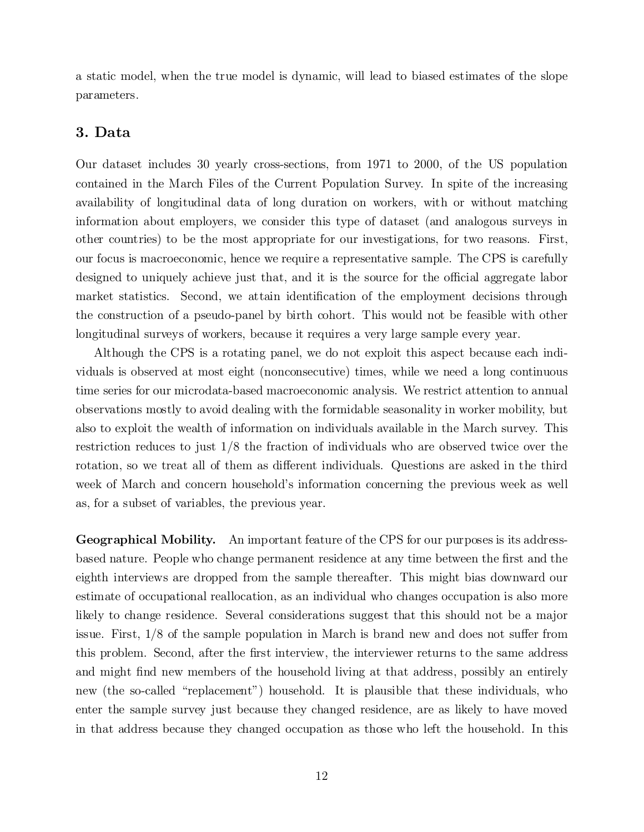a static model, when the true model is dynamic, will lead to biased estimates of the slope parameters.

## 3. Data

Our dataset includes 30 yearly cross-sections, from 1971 to 2000, of the US population contained in the March Files of the Current Population Survey. In spite of the increasing availability of longitudinal data of long duration on workers, with or without matching information about employers, we consider this type of dataset (and analogous surveys in other countries) to be the most appropriate for our investigations, for two reasons. First, our focus is macroeconomic, hence we require a representative sample. The CPS is carefully designed to uniquely achieve just that, and it is the source for the official aggregate labor market statistics. Second, we attain identification of the employment decisions through the construction of a pseudo-panel by birth cohort. This would not be feasible with other longitudinal surveys of workers, because it requires a very large sample every year.

Although the CPS is a rotating panel, we do not exploit this aspect because each individuals is observed at most eight (nonconsecutive) times, while we need a long continuous time series for our microdata-based macroeconomic analysis. We restrict attention to annual observations mostly to avoid dealing with the formidable seasonality in worker mobility, but also to exploit the wealth of information on individuals available in the March survey. This restriction reduces to just 1/8 the fraction of individuals who are observed twice over the rotation, so we treat all of them as different individuals. Questions are asked in the third week of March and concern household's information concerning the previous week as well as, for a subset of variables, the previous year.

Geographical Mobility. An important feature of the CPS for our purposes is its addressbased nature. People who change permanent residence at any time between the first and the eighth interviews are dropped from the sample thereafter. This might bias downward our estimate of occupational reallocation, as an individual who changes occupation is also more likely to change residence. Several considerations suggest that this should not be a major issue. First,  $1/8$  of the sample population in March is brand new and does not suffer from this problem. Second, after the first interview, the interviewer returns to the same address and might find new members of the household living at that address, possibly an entirely new (the so-called "replacement") household. It is plausible that these individuals, who enter the sample survey just because they changed residence, are as likely to have moved in that address because they changed occupation as those who left the household. In this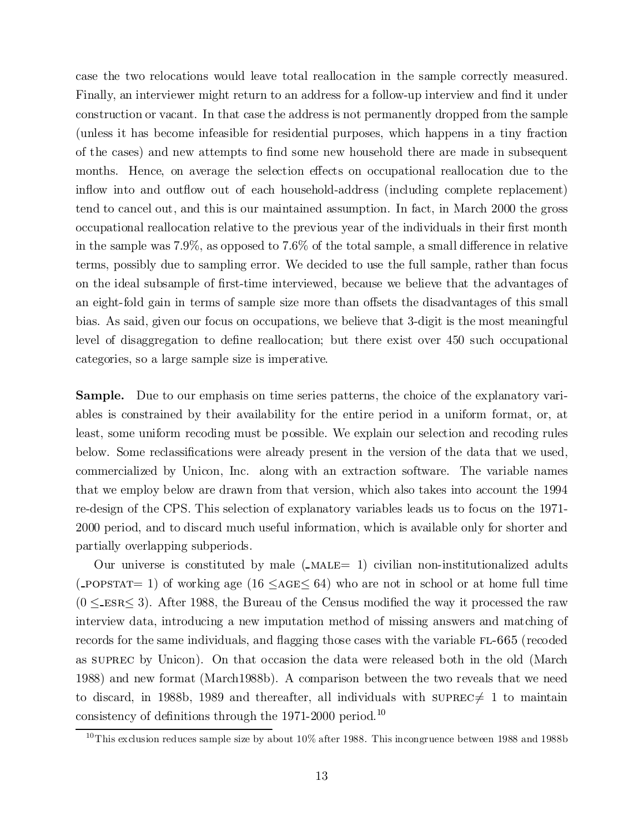case the two relocations would leave total reallocation in the sample correctly measured. Finally, an interviewer might return to an address for a follow-up interview and find it under construction or vacant. In that case the address is not permanently dropped from the sample (unless it has become infeasible for residential purposes, which happens in a tiny fraction of the cases) and new attempts to find some new household there are made in subsequent months. Hence, on average the selection effects on occupational reallocation due to the inflow into and outflow out of each household-address (including complete replacement) tend to cancel out, and this is our maintained assumption. In fact, in March 2000 the gross occupational reallocation relative to the previous year of the individuals in their first month in the sample was  $7.9\%$ , as opposed to  $7.6\%$  of the total sample, a small difference in relative terms, possibly due to sampling error. We decided to use the full sample, rather than focus on the ideal subsample of first-time interviewed, because we believe that the advantages of an eight-fold gain in terms of sample size more than offsets the disadvantages of this small bias. As said, given our focus on occupations, we believe that 3-digit is the most meaningful level of disaggregation to define reallocation; but there exist over 450 such occupational categories, so a large sample size is imperative.

Sample. Due to our emphasis on time series patterns, the choice of the explanatory variables is constrained by their availability for the entire period in a uniform format, or, at least, some uniform recoding must be possible. We explain our selection and recoding rules below. Some reclassifications were already present in the version of the data that we used, commercialized by Unicon, Inc. along with an extraction software. The variable names that we employ below are drawn from that version, which also takes into account the 1994 re-design of the CPS. This selection of explanatory variables leads us to focus on the 1971- 2000 period, and to discard much useful information, which is available only for shorter and partially overlapping subperiods.

Our universe is constituted by male  $($ -MALE $= 1)$  civilian non-institutionalized adults  $(-POPSTAT = 1)$  of working age  $(16 \leq AGE \leq 64)$  who are not in school or at home full time  $(0 \leq$  ESR $\leq$  3). After 1988, the Bureau of the Census modified the way it processed the raw interview data, introducing a new imputation method of missing answers and matching of records for the same individuals, and flagging those cases with the variable FL-665 (recoded as suprec by Unicon). On that occasion the data were released both in the old (March 1988) and new format (March1988b). A comparison between the two reveals that we need to discard, in 1988b, 1989 and thereafter, all individuals with supresc $\neq 1$  to maintain consistency of definitions through the 1971-2000 period.<sup>10</sup>

<sup>&</sup>lt;sup>10</sup>This exclusion reduces sample size by about  $10\%$  after 1988. This incongruence between 1988 and 1988b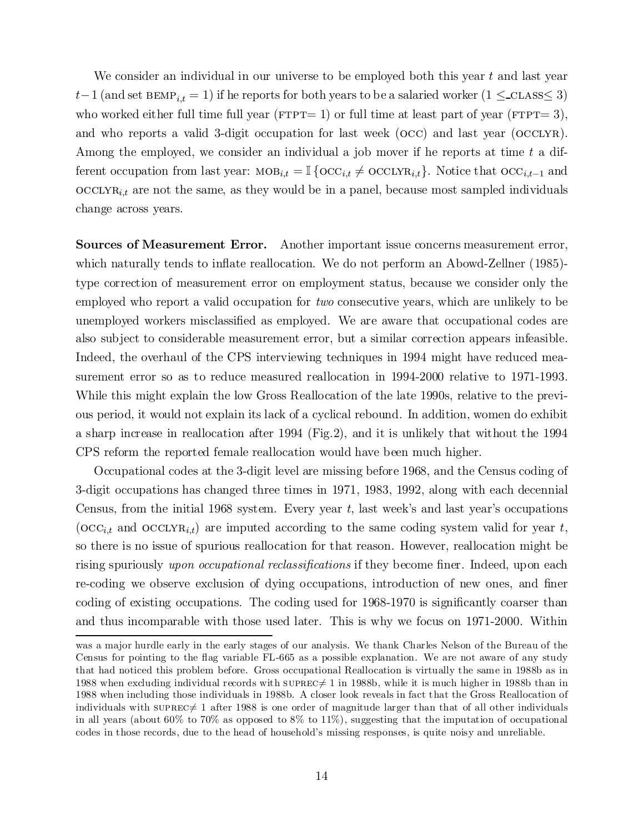We consider an individual in our universe to be employed both this year  $t$  and last year  $t-1$  (and set BEMP<sub>i,t</sub> = 1) if he reports for both years to be a salaried worker (1  $\leq$ -CLASS $\leq$  3) who worked either full time full year ( $fPTPT= 1$ ) or full time at least part of year ( $fTTTT= 3$ ), and who reports a valid 3-digit occupation for last week (occ) and last year (occlyr). Among the employed, we consider an individual a job mover if he reports at time  $t$  a different occupation from last year:  $\text{MOB}_{i,t} = \mathbb{I} \{ \text{OCC}_{i,t} \neq \text{OCCLYR}_{i,t} \}$ . Notice that  $\text{OCC}_{i,t-1}$  and  $\mathrm{occLVR}_{i,t}$  are not the same, as they would be in a panel, because most sampled individuals change across years.

Sources of Measurement Error. Another important issue concerns measurement error, which naturally tends to inflate reallocation. We do not perform an Abowd-Zellner (1985)type correction of measurement error on employment status, because we consider only the employed who report a valid occupation for two consecutive years, which are unlikely to be unemployed workers misclassified as employed. We are aware that occupational codes are also subject to considerable measurement error, but a similar correction appears infeasible. Indeed, the overhaul of the CPS interviewing techniques in 1994 might have reduced measurement error so as to reduce measured reallocation in 1994-2000 relative to 1971-1993. While this might explain the low Gross Reallocation of the late 1990s, relative to the previous period, it would not explain its lack of a cyclical rebound. In addition, women do exhibit a sharp increase in reallocation after 1994 (Fig.2), and it is unlikely that without the 1994 CPS reform the reported female reallocation would have been much higher.

Occupational codes at the 3-digit level are missing before 1968, and the Census coding of 3-digit occupations has changed three times in 1971, 1983, 1992, along with each decennial Census, from the initial 1968 system. Every year t; last week's and last year's occupations ( $\mathrm{occ}_{i,t}$  and  $\mathrm{occ}_{i,t}$ ) are imputed according to the same coding system valid for year t, so there is no issue of spurious reallocation for that reason. However, reallocation might be rising spuriously upon occupational reclassifications if they become finer. Indeed, upon each re-coding we observe exclusion of dying occupations, introduction of new ones, and finer coding of existing occupations. The coding used for 1968-1970 is significantly coarser than and thus incomparable with those used later. This is why we focus on 1971-2000. Within

was a major hurdle early in the early stages of our analysis. We thank Charles Nelson of the Bureau of the Census for pointing to the flag variable FL-665 as a possible explanation. We are not aware of any study that had noticed this problem before. Gross occupational Reallocation is virtually the same in 1988b as in 1988 when excluding individual records with  $\text{supRec}\neq 1$  in 1988b, while it is much higher in 1988b than in 1988 when including those individuals in 1988b. A closer look reveals in fact that the Gross Reallocation of individuals with suprec $\neq 1$  after 1988 is one order of magnitude larger than that of all other individuals in all years (about 60% to 70% as opposed to 8% to 11%), suggesting that the imputation of occupational codes in those records, due to the head of household's missing responses, is quite noisy and unreliable.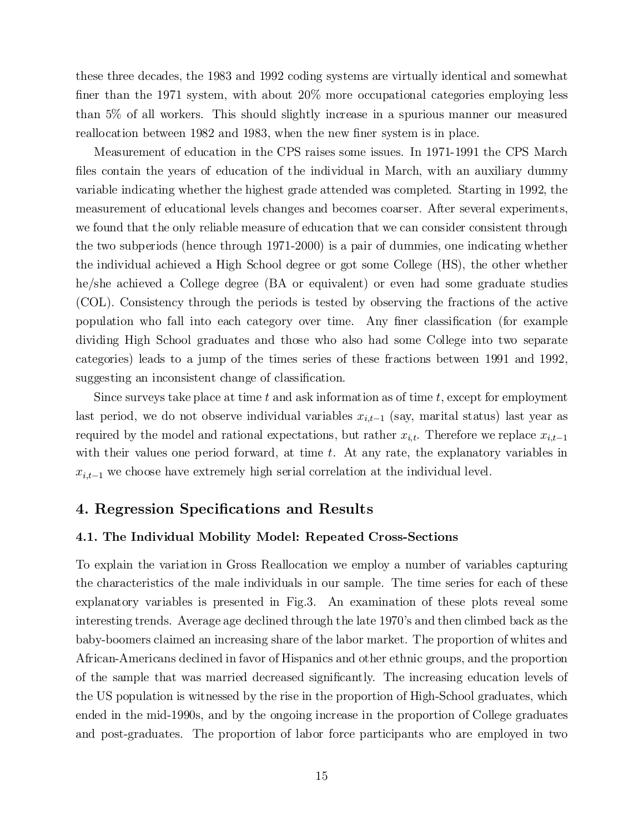these three decades, the 1983 and 1992 coding systems are virtually identical and somewhat finer than the 1971 system, with about  $20\%$  more occupational categories employing less than 5% of all workers. This should slightly increase in a spurious manner our measured reallocation between 1982 and 1983, when the new finer system is in place.

Measurement of education in the CPS raises some issues. In 1971-1991 the CPS March files contain the years of education of the individual in March, with an auxiliary dummy variable indicating whether the highest grade attended was completed. Starting in 1992, the measurement of educational levels changes and becomes coarser. After several experiments, we found that the only reliable measure of education that we can consider consistent through the two subperiods (hence through 1971-2000) is a pair of dummies, one indicating whether the individual achieved a High School degree or got some College (HS), the other whether he/she achieved a College degree (BA or equivalent) or even had some graduate studies (COL). Consistency through the periods is tested by observing the fractions of the active population who fall into each category over time. Any finer classification (for example dividing High School graduates and those who also had some College into two separate categories) leads to a jump of the times series of these fractions between 1991 and 1992, suggesting an inconsistent change of classification.

Since surveys take place at time t and ask information as of time t, except for employment last period, we do not observe individual variables  $x_{i,t-1}$  (say, marital status) last year as required by the model and rational expectations, but rather  $x_{i,t}$ . Therefore we replace  $x_{i,t-1}$ with their values one period forward, at time  $t$ . At any rate, the explanatory variables in  $x_{i,t-1}$  we choose have extremely high serial correlation at the individual level.

## 4. Regression Specifications and Results

#### 4.1. The Individual Mobility Model: Repeated Cross-Sections

To explain the variation in Gross Reallocation we employ a number of variables capturing the characteristics of the male individuals in our sample. The time series for each of these explanatory variables is presented in Fig.3. An examination of these plots reveal some interesting trends. Average age declined through the late 1970's and then climbed back as the baby-boomers claimed an increasing share of the labor market. The proportion of whites and African-Americans declined in favor of Hispanics and other ethnic groups, and the proportion of the sample that was married decreased significantly. The increasing education levels of the US population is witnessed by the rise in the proportion of High-School graduates, which ended in the mid-1990s, and by the ongoing increase in the proportion of College graduates and post-graduates. The proportion of labor force participants who are employed in two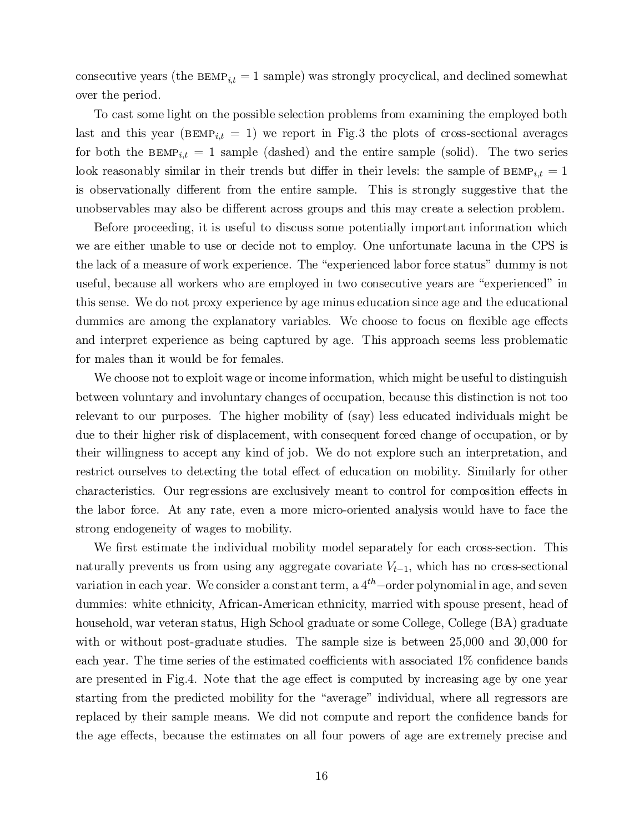consecutive years (the  $BEMP_{i,t} = 1$  sample) was strongly procyclical, and declined somewhat over the period.

To cast some light on the possible selection problems from examining the employed both last and this year ( $BEMP_{i,t} = 1$ ) we report in Fig.3 the plots of cross-sectional averages for both the  $BEMP_{i,t} = 1$  sample (dashed) and the entire sample (solid). The two series look reasonably similar in their trends but differ in their levels: the sample of  $BEMP_{i,t} = 1$ is observationally different from the entire sample. This is strongly suggestive that the unobservables may also be different across groups and this may create a selection problem.

Before proceeding, it is useful to discuss some potentially important information which we are either unable to use or decide not to employ. One unfortunate lacuna in the CPS is the lack of a measure of work experience. The "experienced labor force status" dummy is not useful, because all workers who are employed in two consecutive years are "experienced" in this sense. We do not proxy experience by age minus education since age and the educational dummies are among the explanatory variables. We choose to focus on flexible age effects and interpret experience as being captured by age. This approach seems less problematic for males than it would be for females.

We choose not to exploit wage or income information, which might be useful to distinguish between voluntary and involuntary changes of occupation, because this distinction is not too relevant to our purposes. The higher mobility of (say) less educated individuals might be due to their higher risk of displacement, with consequent forced change of occupation, or by their willingness to accept any kind of job. We do not explore such an interpretation, and restrict ourselves to detecting the total effect of education on mobility. Similarly for other characteristics. Our regressions are exclusively meant to control for composition effects in the labor force. At any rate, even a more micro-oriented analysis would have to face the strong endogeneity of wages to mobility.

We first estimate the individual mobility model separately for each cross-section. This naturally prevents us from using any aggregate covariate  $V_{t-1}$ , which has no cross-sectional variation in each year. We consider a constant term, a  $4^{th}$  –order polynomial in age, and seven dummies: white ethnicity, African-American ethnicity, married with spouse present, head of household, war veteran status, High School graduate or some College, College (BA) graduate with or without post-graduate studies. The sample size is between 25,000 and 30,000 for each year. The time series of the estimated coefficients with associated  $1\%$  confidence bands are presented in Fig.4. Note that the age effect is computed by increasing age by one year starting from the predicted mobility for the "average" individual, where all regressors are replaced by their sample means. We did not compute and report the confidence bands for the age effects, because the estimates on all four powers of age are extremely precise and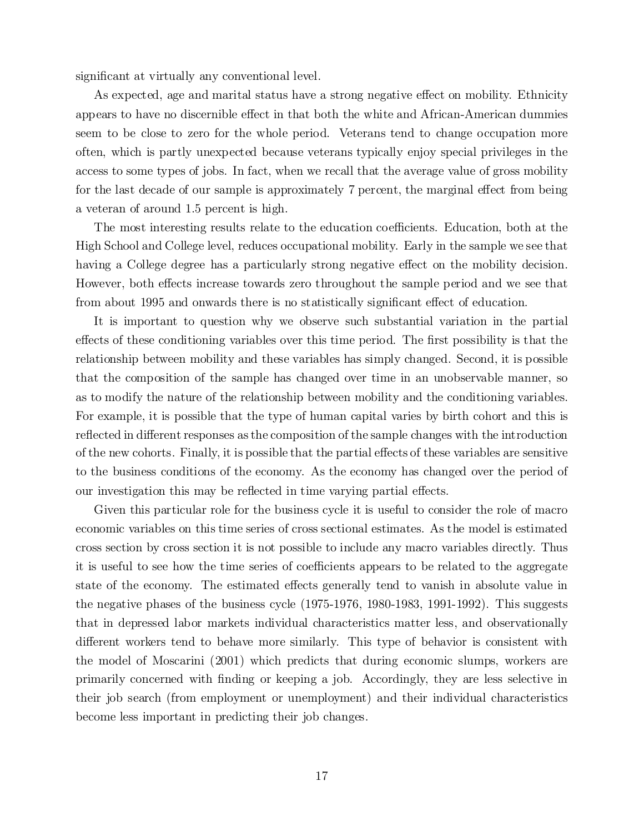significant at virtually any conventional level.

As expected, age and marital status have a strong negative effect on mobility. Ethnicity appears to have no discernible effect in that both the white and African-American dummies seem to be close to zero for the whole period. Veterans tend to change occupation more often, which is partly unexpected because veterans typically enjoy special privileges in the access to some types of jobs. In fact, when we recall that the average value of gross mobility for the last decade of our sample is approximately 7 percent, the marginal effect from being a veteran of around 1.5 percent is high.

The most interesting results relate to the education coefficients. Education, both at the High School and College level, reduces occupational mobility. Early in the sample we see that having a College degree has a particularly strong negative effect on the mobility decision. However, both effects increase towards zero throughout the sample period and we see that from about 1995 and onwards there is no statistically significant effect of education.

It is important to question why we observe such substantial variation in the partial effects of these conditioning variables over this time period. The first possibility is that the relationship between mobility and these variables has simply changed. Second, it is possible that the composition of the sample has changed over time in an unobservable manner, so as to modify the nature of the relationship between mobility and the conditioning variables. For example, it is possible that the type of human capital varies by birth cohort and this is reflected in different responses as the composition of the sample changes with the introduction of the new cohorts. Finally, it is possible that the partial effects of these variables are sensitive to the business conditions of the economy. As the economy has changed over the period of our investigation this may be reflected in time varying partial effects.

Given this particular role for the business cycle it is useful to consider the role of macro economic variables on this time series of cross sectional estimates. As the model is estimated cross section by cross section it is not possible to include any macro variables directly. Thus it is useful to see how the time series of coefficients appears to be related to the aggregate state of the economy. The estimated effects generally tend to vanish in absolute value in the negative phases of the business cycle (1975-1976, 1980-1983, 1991-1992). This suggests that in depressed labor markets individual characteristics matter less, and observationally different workers tend to behave more similarly. This type of behavior is consistent with the model of Moscarini (2001) which predicts that during economic slumps, workers are primarily concerned with finding or keeping a job. Accordingly, they are less selective in their job search (from employment or unemployment) and their individual characteristics become less important in predicting their job changes.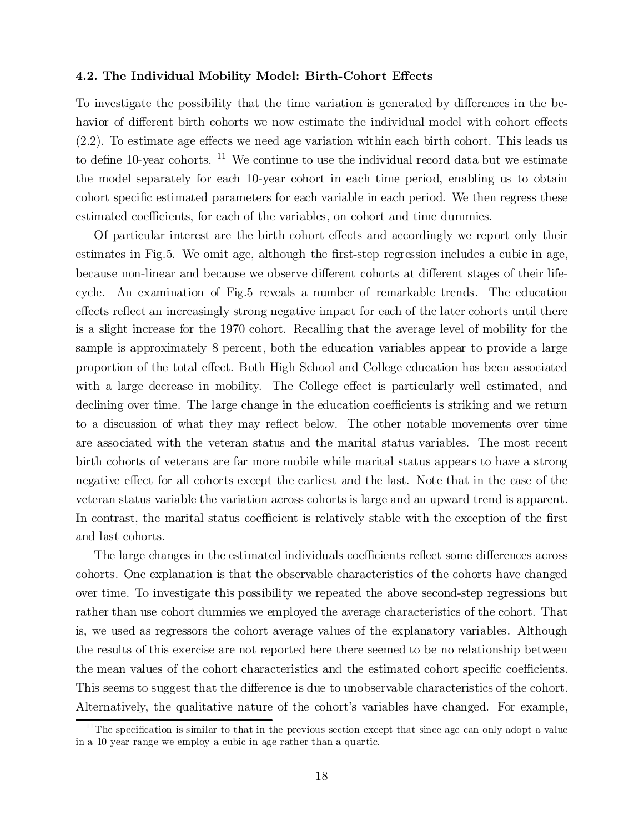#### 4.2. The Individual Mobility Model: Birth-Cohort Effects

To investigate the possibility that the time variation is generated by differences in the behavior of different birth cohorts we now estimate the individual model with cohort effects  $(2.2)$ . To estimate age effects we need age variation within each birth cohort. This leads us to define 10-year cohorts. <sup>11</sup> We continue to use the individual record data but we estimate the model separately for each 10-year cohort in each time period, enabling us to obtain cohort specific estimated parameters for each variable in each period. We then regress these estimated coefficients, for each of the variables, on cohort and time dummies.

Of particular interest are the birth cohort effects and accordingly we report only their estimates in Fig.5. We omit age, although the first-step regression includes a cubic in age, because non-linear and because we observe different cohorts at different stages of their lifecycle. An examination of Fig.5 reveals a number of remarkable trends. The education effects reflect an increasingly strong negative impact for each of the later cohorts until there is a slight increase for the 1970 cohort. Recalling that the average level of mobility for the sample is approximately 8 percent, both the education variables appear to provide a large proportion of the total effect. Both High School and College education has been associated with a large decrease in mobility. The College effect is particularly well estimated, and declining over time. The large change in the education coefficients is striking and we return to a discussion of what they may reflect below. The other notable movements over time are associated with the veteran status and the marital status variables. The most recent birth cohorts of veterans are far more mobile while marital status appears to have a strong negative effect for all cohorts except the earliest and the last. Note that in the case of the veteran status variable the variation across cohorts is large and an upward trend is apparent. In contrast, the marital status coefficient is relatively stable with the exception of the first and last cohorts.

The large changes in the estimated individuals coefficients reflect some differences across cohorts. One explanation is that the observable characteristics of the cohorts have changed over time. To investigate this possibility we repeated the above second-step regressions but rather than use cohort dummies we employed the average characteristics of the cohort. That is, we used as regressors the cohort average values of the explanatory variables. Although the results of this exercise are not reported here there seemed to be no relationship between the mean values of the cohort characteristics and the estimated cohort specific coefficients. This seems to suggest that the difference is due to unobservable characteristics of the cohort. Alternatively, the qualitative nature of the cohort's variables have changed. For example,

 $11$ The specification is similar to that in the previous section except that since age can only adopt a value in a 10 year range we employ a cubic in age rather than a quartic.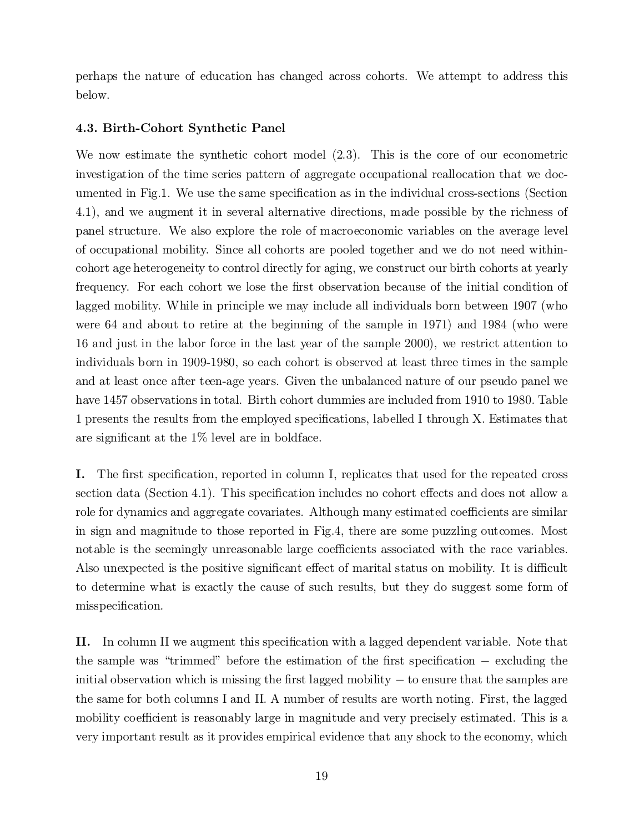perhaps the nature of education has changed across cohorts. We attempt to address this below.

#### 4.3. Birth-Cohort Synthetic Panel

We now estimate the synthetic cohort model (2.3). This is the core of our econometric investigation of the time series pattern of aggregate occupational reallocation that we documented in Fig.1. We use the same specification as in the individual cross-sections (Section 4.1), and we augment it in several alternative directions, made possible by the richness of panel structure. We also explore the role of macroeconomic variables on the average level of occupational mobility. Since all cohorts are pooled together and we do not need withincohort age heterogeneity to control directly for aging, we construct our birth cohorts at yearly frequency. For each cohort we lose the first observation because of the initial condition of lagged mobility. While in principle we may include all individuals born between 1907 (who were 64 and about to retire at the beginning of the sample in 1971) and 1984 (who were 16 and just in the labor force in the last year of the sample 2000), we restrict attention to individuals born in 1909-1980, so each cohort is observed at least three times in the sample and at least once after teen-age years. Given the unbalanced nature of our pseudo panel we have 1457 observations in total. Birth cohort dummies are included from 1910 to 1980. Table 1 presents the results from the employed specifications, labelled I through X. Estimates that are significant at the  $1\%$  level are in boldface.

I. The first specification, reported in column I, replicates that used for the repeated cross section data (Section 4.1). This specification includes no cohort effects and does not allow a role for dynamics and aggregate covariates. Although many estimated coefficients are similar in sign and magnitude to those reported in Fig.4, there are some puzzling outcomes. Most notable is the seemingly unreasonable large coefficients associated with the race variables. Also unexpected is the positive significant effect of marital status on mobility. It is difficult to determine what is exactly the cause of such results, but they do suggest some form of misspecification.

II. In column II we augment this specification with a lagged dependent variable. Note that the sample was "trimmed" before the estimation of the first specification  $-$  excluding the initial observation which is missing the first lagged mobility  $-$  to ensure that the samples are the same for both columns I and II. A number of results are worth noting. First, the lagged mobility coefficient is reasonably large in magnitude and very precisely estimated. This is a very important result as it provides empirical evidence that any shock to the economy, which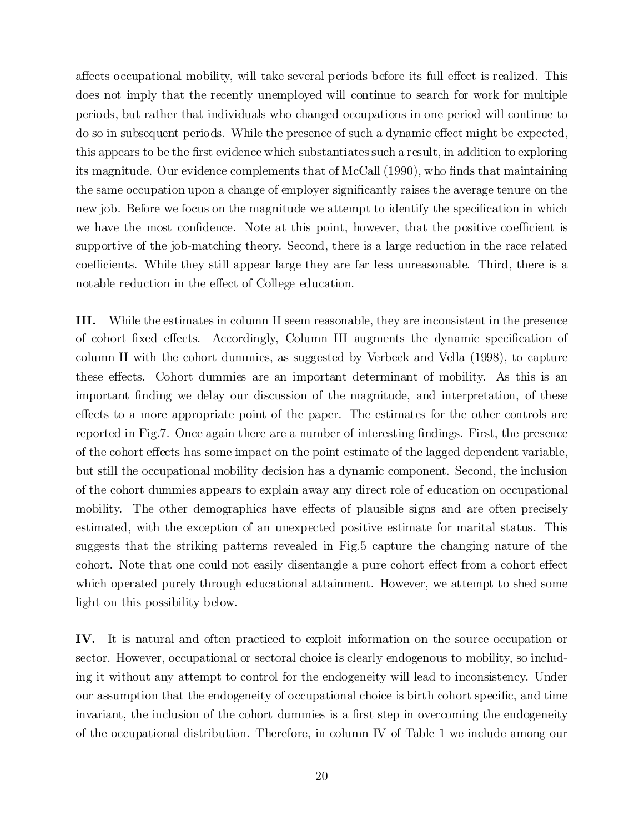affects occupational mobility, will take several periods before its full effect is realized. This does not imply that the recently unemployed will continue to search for work for multiple periods, but rather that individuals who changed occupations in one period will continue to do so in subsequent periods. While the presence of such a dynamic effect might be expected, this appears to be the first evidence which substantiates such a result, in addition to exploring its magnitude. Our evidence complements that of  $\text{McCall}$  (1990), who finds that maintaining the same occupation upon a change of employer significantly raises the average tenure on the new job. Before we focus on the magnitude we attempt to identify the specification in which we have the most confidence. Note at this point, however, that the positive coefficient is supportive of the job-matching theory. Second, there is a large reduction in the race related coefficients. While they still appear large they are far less unreasonable. Third, there is a notable reduction in the effect of College education.

III. While the estimates in column II seem reasonable, they are inconsistent in the presence of cohort fixed effects. Accordingly, Column III augments the dynamic specification of column II with the cohort dummies, as suggested by Verbeek and Vella (1998), to capture these effects. Cohort dummies are an important determinant of mobility. As this is an important finding we delay our discussion of the magnitude, and interpretation, of these effects to a more appropriate point of the paper. The estimates for the other controls are reported in Fig.7. Once again there are a number of interesting findings. First, the presence of the cohort effects has some impact on the point estimate of the lagged dependent variable, but still the occupational mobility decision has a dynamic component. Second, the inclusion of the cohort dummies appears to explain away any direct role of education on occupational mobility. The other demographics have effects of plausible signs and are often precisely estimated, with the exception of an unexpected positive estimate for marital status. This suggests that the striking patterns revealed in Fig.5 capture the changing nature of the cohort. Note that one could not easily disentangle a pure cohort effect from a cohort effect which operated purely through educational attainment. However, we attempt to shed some light on this possibility below.

IV. It is natural and often practiced to exploit information on the source occupation or sector. However, occupational or sectoral choice is clearly endogenous to mobility, so including it without any attempt to control for the endogeneity will lead to inconsistency. Under our assumption that the endogeneity of occupational choice is birth cohort specific, and time invariant, the inclusion of the cohort dummies is a first step in overcoming the endogeneity of the occupational distribution. Therefore, in column IV of Table 1 we include among our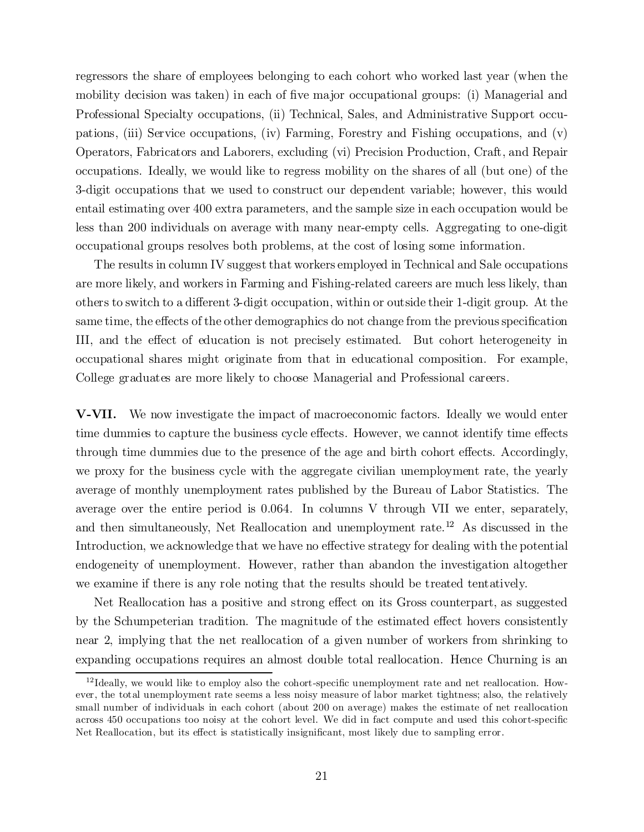regressors the share of employees belonging to each cohort who worked last year (when the mobility decision was taken) in each of five major occupational groups: (i) Managerial and Professional Specialty occupations, (ii) Technical, Sales, and Administrative Support occupations, (iii) Service occupations, (iv) Farming, Forestry and Fishing occupations, and (v) Operators, Fabricators and Laborers, excluding (vi) Precision Production, Craft, and Repair occupations. Ideally, we would like to regress mobility on the shares of all (but one) of the 3-digit occupations that we used to construct our dependent variable; however, this would entail estimating over 400 extra parameters, and the sample size in each occupation would be less than 200 individuals on average with many near-empty cells. Aggregating to one-digit occupational groups resolves both problems, at the cost of losing some information.

The results in column IV suggest that workers employed in Technical and Sale occupations are more likely, and workers in Farming and Fishing-related careers are much less likely, than others to switch to a different 3-digit occupation, within or outside their 1-digit group. At the same time, the effects of the other demographics do not change from the previous specification III, and the effect of education is not precisely estimated. But cohort heterogeneity in occupational shares might originate from that in educational composition. For example, College graduates are more likely to choose Managerial and Professional careers.

V-VII. We now investigate the impact of macroeconomic factors. Ideally we would enter time dummies to capture the business cycle effects. However, we cannot identify time effects through time dummies due to the presence of the age and birth cohort effects. Accordingly, we proxy for the business cycle with the aggregate civilian unemployment rate, the yearly average of monthly unemployment rates published by the Bureau of Labor Statistics. The average over the entire period is 0.064. In columns V through VII we enter, separately, and then simultaneously, Net Reallocation and unemployment rate. <sup>12</sup> As discussed in the Introduction, we acknowledge that we have no effective strategy for dealing with the potential endogeneity of unemployment. However, rather than abandon the investigation altogether we examine if there is any role noting that the results should be treated tentatively.

Net Reallocation has a positive and strong effect on its Gross counterpart, as suggested by the Schumpeterian tradition. The magnitude of the estimated effect hovers consistently near 2, implying that the net reallocation of a given number of workers from shrinking to expanding occupations requires an almost double total reallocation. Hence Churning is an

 $^{12}$ Ideally, we would like to employ also the cohort-specific unemployment rate and net reallocation. However, the total unemployment rate seems a less noisy measure of labor market tightness; also, the relatively small number of individuals in each cohort (about 200 on average) makes the estimate of net reallocation across 450 occupations too noisy at the cohort level. We did in fact compute and used this cohort-specific Net Reallocation, but its effect is statistically insignificant, most likely due to sampling error.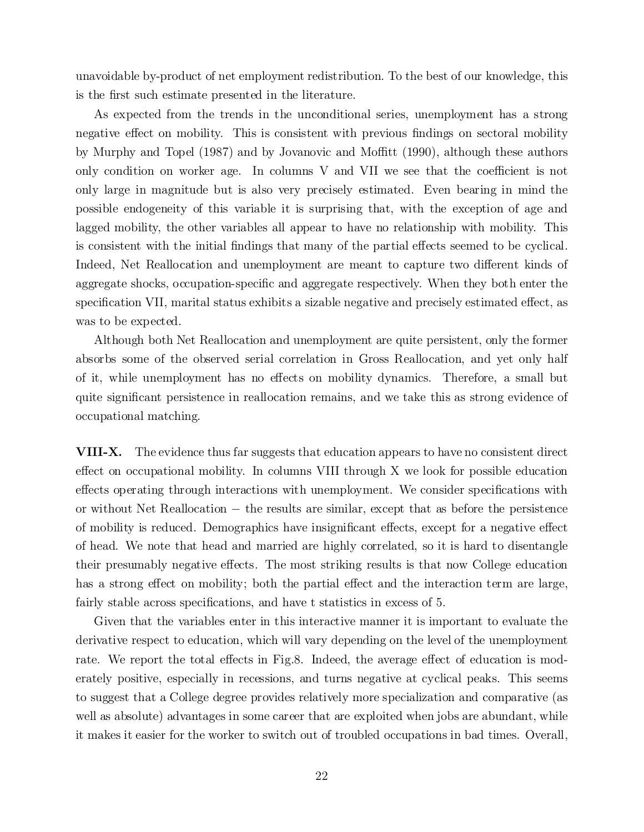unavoidable by-product of net employment redistribution. To the best of our knowledge, this is the first such estimate presented in the literature.

As expected from the trends in the unconditional series, unemployment has a strong negative effect on mobility. This is consistent with previous findings on sectoral mobility by Murphy and Topel (1987) and by Jovanovic and Moffitt (1990), although these authors only condition on worker age. In columns  $V$  and  $VII$  we see that the coefficient is not only large in magnitude but is also very precisely estimated. Even bearing in mind the possible endogeneity of this variable it is surprising that, with the exception of age and lagged mobility, the other variables all appear to have no relationship with mobility. This is consistent with the initial findings that many of the partial effects seemed to be cyclical. Indeed, Net Reallocation and unemployment are meant to capture two different kinds of aggregate shocks, occupation-specific and aggregate respectively. When they both enter the specification VII, marital status exhibits a sizable negative and precisely estimated effect, as was to be expected.

Although both Net Reallocation and unemployment are quite persistent, only the former absorbs some of the observed serial correlation in Gross Reallocation, and yet only half of it, while unemployment has no effects on mobility dynamics. Therefore, a small but quite significant persistence in reallocation remains, and we take this as strong evidence of occupational matching.

VIII-X. The evidence thus far suggests that education appears to have no consistent direct effect on occupational mobility. In columns VIII through X we look for possible education effects operating through interactions with unemployment. We consider specifications with or without Net Reallocation  $-$  the results are similar, except that as before the persistence of mobility is reduced. Demographics have insignificant effects, except for a negative effect of head. We note that head and married are highly correlated, so it is hard to disentangle their presumably negative effects. The most striking results is that now College education has a strong effect on mobility; both the partial effect and the interaction term are large, fairly stable across specifications, and have t statistics in excess of 5.

Given that the variables enter in this interactive manner it is important to evaluate the derivative respect to education, which will vary depending on the level of the unemployment rate. We report the total effects in Fig.8. Indeed, the average effect of education is moderately positive, especially in recessions, and turns negative at cyclical peaks. This seems to suggest that a College degree provides relatively more specialization and comparative (as well as absolute) advantages in some career that are exploited when jobs are abundant, while it makes it easier for the worker to switch out of troubled occupations in bad times. Overall,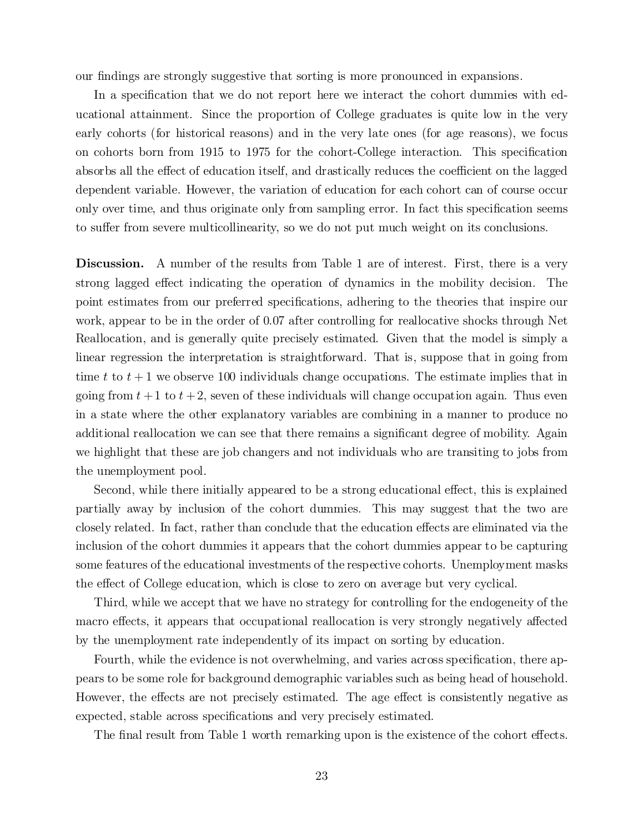our findings are strongly suggestive that sorting is more pronounced in expansions.

In a specification that we do not report here we interact the cohort dummies with educational attainment. Since the proportion of College graduates is quite low in the very early cohorts (for historical reasons) and in the very late ones (for age reasons), we focus on cohorts born from 1915 to 1975 for the cohort-College interaction. This specification absorbs all the effect of education itself, and drastically reduces the coefficient on the lagged dependent variable. However, the variation of education for each cohort can of course occur only over time, and thus originate only from sampling error. In fact this specification seems to suffer from severe multicollinearity, so we do not put much weight on its conclusions.

Discussion. A number of the results from Table 1 are of interest. First, there is a very strong lagged effect indicating the operation of dynamics in the mobility decision. The point estimates from our preferred specifications, adhering to the theories that inspire our work, appear to be in the order of 0.07 after controlling for reallocative shocks through Net Reallocation, and is generally quite precisely estimated. Given that the model is simply a linear regression the interpretation is straightforward. That is, suppose that in going from time t to  $t + 1$  we observe 100 individuals change occupations. The estimate implies that in going from  $t + 1$  to  $t + 2$ , seven of these individuals will change occupation again. Thus even in a state where the other explanatory variables are combining in a manner to produce no additional reallocation we can see that there remains a significant degree of mobility. Again we highlight that these are job changers and not individuals who are transiting to jobs from the unemployment pool.

Second, while there initially appeared to be a strong educational effect, this is explained partially away by inclusion of the cohort dummies. This may suggest that the two are closely related. In fact, rather than conclude that the education effects are eliminated via the inclusion of the cohort dummies it appears that the cohort dummies appear to be capturing some features of the educational investments of the respective cohorts. Unemployment masks the effect of College education, which is close to zero on average but very cyclical.

Third, while we accept that we have no strategy for controlling for the endogeneity of the macro effects, it appears that occupational reallocation is very strongly negatively affected by the unemployment rate independently of its impact on sorting by education.

Fourth, while the evidence is not overwhelming, and varies across specification, there appears to be some role for background demographic variables such as being head of household. However, the effects are not precisely estimated. The age effect is consistently negative as expected, stable across specifications and very precisely estimated.

The final result from Table 1 worth remarking upon is the existence of the cohort effects.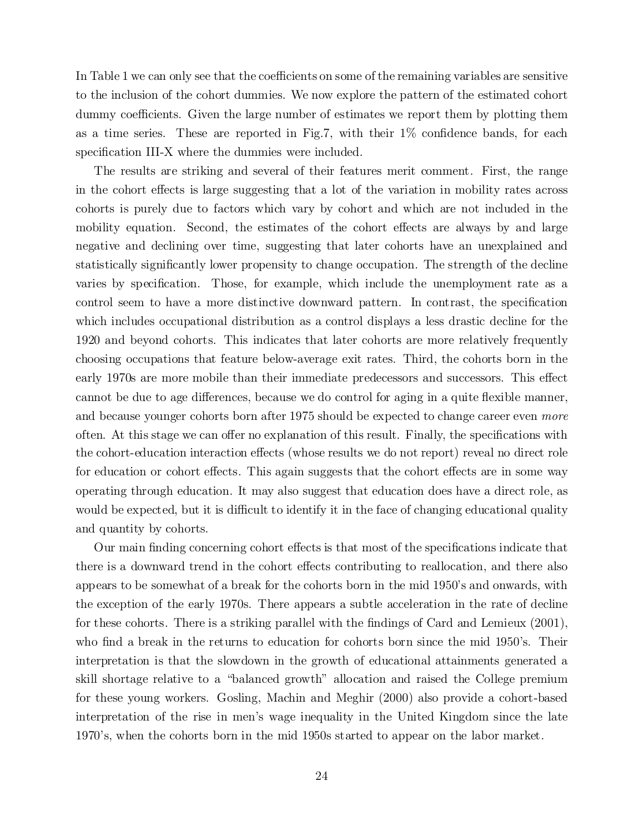In Table 1 we can only see that the coefficients on some of the remaining variables are sensitive to the inclusion of the cohort dummies. We now explore the pattern of the estimated cohort dummy coefficients. Given the large number of estimates we report them by plotting them as a time series. These are reported in Fig.7, with their  $1\%$  confidence bands, for each specification III-X where the dummies were included.

The results are striking and several of their features merit comment. First, the range in the cohort effects is large suggesting that a lot of the variation in mobility rates across cohorts is purely due to factors which vary by cohort and which are not included in the mobility equation. Second, the estimates of the cohort effects are always by and large negative and declining over time, suggesting that later cohorts have an unexplained and statistically significantly lower propensity to change occupation. The strength of the decline varies by specification. Those, for example, which include the unemployment rate as a control seem to have a more distinctive downward pattern. In contrast, the specification which includes occupational distribution as a control displays a less drastic decline for the 1920 and beyond cohorts. This indicates that later cohorts are more relatively frequently choosing occupations that feature below-average exit rates. Third, the cohorts born in the early 1970s are more mobile than their immediate predecessors and successors. This effect cannot be due to age differences, because we do control for aging in a quite flexible manner, and because younger cohorts born after 1975 should be expected to change career even more often. At this stage we can offer no explanation of this result. Finally, the specifications with the cohort-education interaction effects (whose results we do not report) reveal no direct role for education or cohort effects. This again suggests that the cohort effects are in some way operating through education. It may also suggest that education does have a direct role, as would be expected, but it is difficult to identify it in the face of changing educational quality and quantity by cohorts.

Our main finding concerning cohort effects is that most of the specifications indicate that there is a downward trend in the cohort effects contributing to reallocation, and there also appears to be somewhat of a break for the cohorts born in the mid 1950's and onwards, with the exception of the early 1970s. There appears a subtle acceleration in the rate of decline for these cohorts. There is a striking parallel with the findings of Card and Lemieux  $(2001)$ , who find a break in the returns to education for cohorts born since the mid 1950's. Their interpretation is that the slowdown in the growth of educational attainments generated a skill shortage relative to a \balanced growth" allocation and raised the College premium for these young workers. Gosling, Machin and Meghir (2000) also provide a cohort-based interpretation of the rise in men's wage inequality in the United Kingdom since the late 1970's, when the cohorts born in the mid 1950s started to appear on the labor market.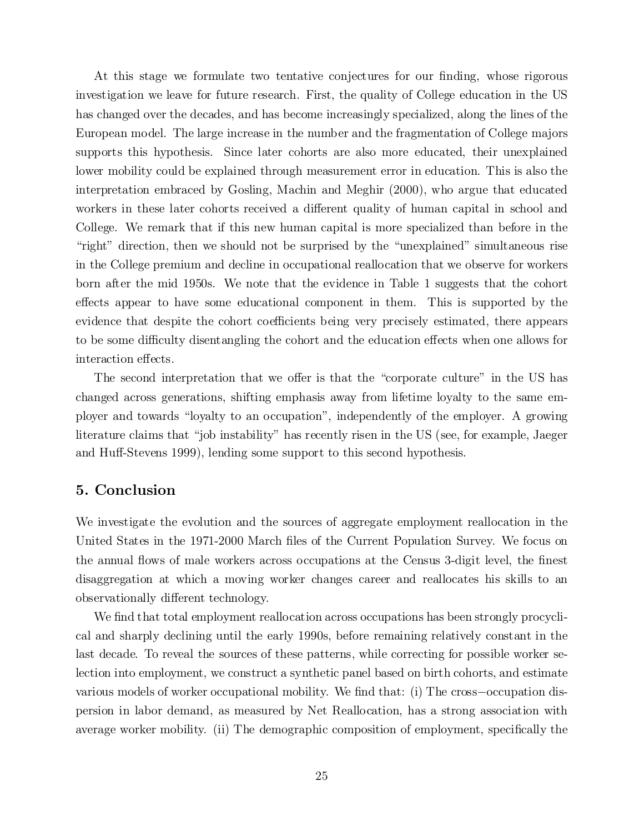At this stage we formulate two tentative conjectures for our finding, whose rigorous investigation we leave for future research. First, the quality of College education in the US has changed over the decades, and has become increasingly specialized, along the lines of the European model. The large increase in the number and the fragmentation of College majors supports this hypothesis. Since later cohorts are also more educated, their unexplained lower mobility could be explained through measurement error in education. This is also the interpretation embraced by Gosling, Machin and Meghir (2000), who argue that educated workers in these later cohorts received a different quality of human capital in school and College. We remark that if this new human capital is more specialized than before in the "right" direction, then we should not be surprised by the "unexplained" simultaneous rise in the College premium and decline in occupational reallocation that we observe for workers born after the mid 1950s. We note that the evidence in Table 1 suggests that the cohort effects appear to have some educational component in them. This is supported by the evidence that despite the cohort coefficients being very precisely estimated, there appears to be some difficulty disentangling the cohort and the education effects when one allows for interaction effects.

The second interpretation that we offer is that the "corporate culture" in the US has changed across generations, shifting emphasis away from lifetime loyalty to the same employer and towards \loyalty to an occupation", independently of the employer. A growing literature claims that "job instability" has recently risen in the US (see, for example, Jaeger and Huff-Stevens 1999), lending some support to this second hypothesis.

## 5. Conclusion

We investigate the evolution and the sources of aggregate employment reallocation in the United States in the 1971-2000 March files of the Current Population Survey. We focus on the annual flows of male workers across occupations at the Census 3-digit level, the finest disaggregation at which a moving worker changes career and reallocates his skills to an observationally different technology.

We find that total employment reallocation across occupations has been strongly procyclical and sharply declining until the early 1990s, before remaining relatively constant in the last decade. To reveal the sources of these patterns, while correcting for possible worker selection into employment, we construct a synthetic panel based on birth cohorts, and estimate various models of worker occupational mobility. We find that:  $(i)$  The cross-occupation dispersion in labor demand, as measured by Net Reallocation, has a strong association with average worker mobility. (ii) The demographic composition of employment, specifically the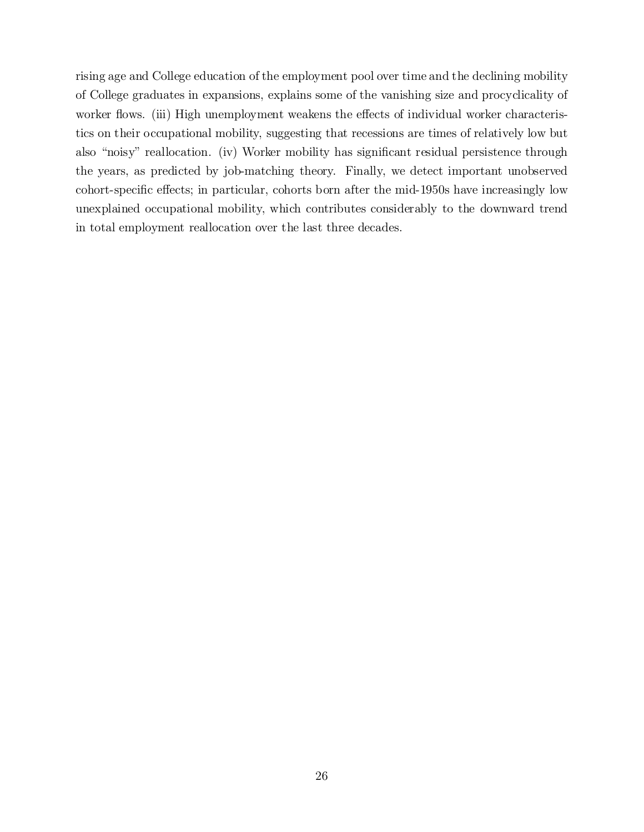rising age and College education of the employment pool over time and the declining mobility of College graduates in expansions, explains some of the vanishing size and procyclicality of worker flows. (iii) High unemployment weakens the effects of individual worker characteristics on their occupational mobility, suggesting that recessions are times of relatively low but also "noisy" reallocation. (iv) Worker mobility has significant residual persistence through the years, as predicted by job-matching theory. Finally, we detect important unobserved cohort-specific effects; in particular, cohorts born after the mid-1950s have increasingly low unexplained occupational mobility, which contributes considerably to the downward trend in total employment reallocation over the last three decades.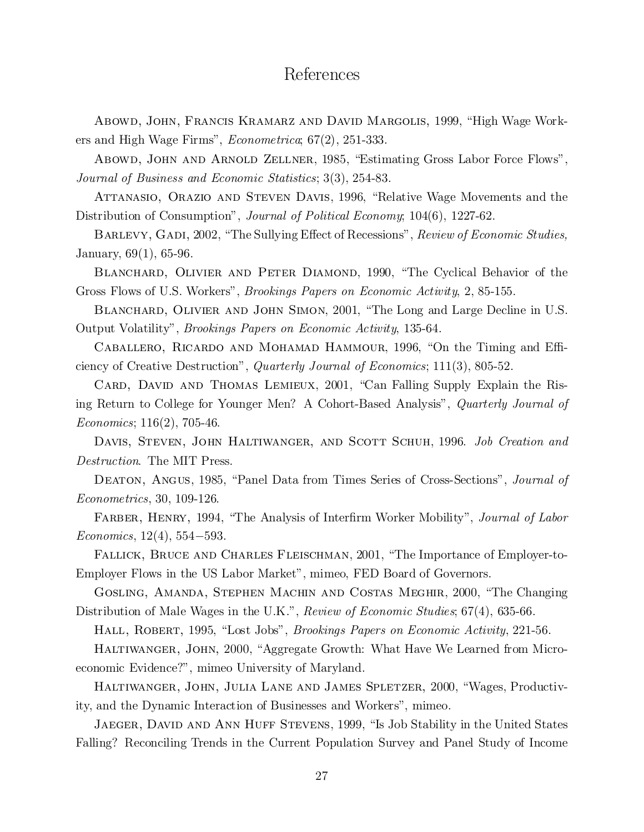## References

Abowd, John, Francis Kramarz and David Margolis, 1999, "High Wage Workers and High Wage Firms", Econometrica; 67(2), 251-333.

Abowd, John and Arnold Zellner, 1985, \Estimating Gross Labor Force Flows", Journal of Business and Economic Statistics; 3(3), 254-83.

ATTANASIO, ORAZIO AND STEVEN DAVIS, 1996, "Relative Wage Movements and the Distribution of Consumption", *Journal of Political Economy*; 104(6), 1227-62.

BARLEVY, GADI, 2002, "The Sullying Effect of Recessions", Review of Economic Studies, January, 69(1), 65-96.

BLANCHARD, OLIVIER AND PETER DIAMOND, 1990, "The Cyclical Behavior of the Gross Flows of U.S. Workers", Brookings Papers on Economic Activity, 2, 85-155.

BLANCHARD, OLIVIER AND JOHN SIMON, 2001, "The Long and Large Decline in U.S. Output Volatility", Brookings Papers on Economic Activity, 135-64.

CABALLERO, RICARDO AND MOHAMAD HAMMOUR, 1996, "On the Timing and Efficiency of Creative Destruction", Quarterly Journal of Economics; 111(3), 805-52.

CARD, DAVID AND THOMAS LEMIEUX, 2001, "Can Falling Supply Explain the Rising Return to College for Younger Men? A Cohort-Based Analysis", Quarterly Journal of Economics; 116(2), 705-46.

DAVIS, STEVEN, JOHN HALTIWANGER, AND SCOTT SCHUH, 1996. Job Creation and Destruction. The MIT Press.

DEATON, ANGUS, 1985, "Panel Data from Times Series of Cross-Sections", *Journal of* Econometrics, 30, 109-126.

FARBER, HENRY, 1994, "The Analysis of Interfirm Worker Mobility", *Journal of Labor*  $Economics, 12(4), 554–593.$ 

FALLICK, BRUCE AND CHARLES FLEISCHMAN, 2001, "The Importance of Employer-to-Employer Flows in the US Labor Market", mimeo, FED Board of Governors.

GOSLING, AMANDA, STEPHEN MACHIN AND COSTAS MEGHIR, 2000, "The Changing Distribution of Male Wages in the U.K.", *Review of Economic Studies*; 67(4), 635-66.

HALL, ROBERT, 1995, "Lost Jobs", *Brookings Papers on Economic Activity*, 221-56.

HALTIWANGER, JOHN, 2000, "Aggregate Growth: What Have We Learned from Microeconomic Evidence?", mimeo University of Maryland.

HALTIWANGER, JOHN, JULIA LANE AND JAMES SPLETZER, 2000, "Wages, Productivity, and the Dynamic Interaction of Businesses and Workers", mimeo.

JAEGER, DAVID AND ANN HUFF STEVENS, 1999, "Is Job Stability in the United States Falling? Reconciling Trends in the Current Population Survey and Panel Study of Income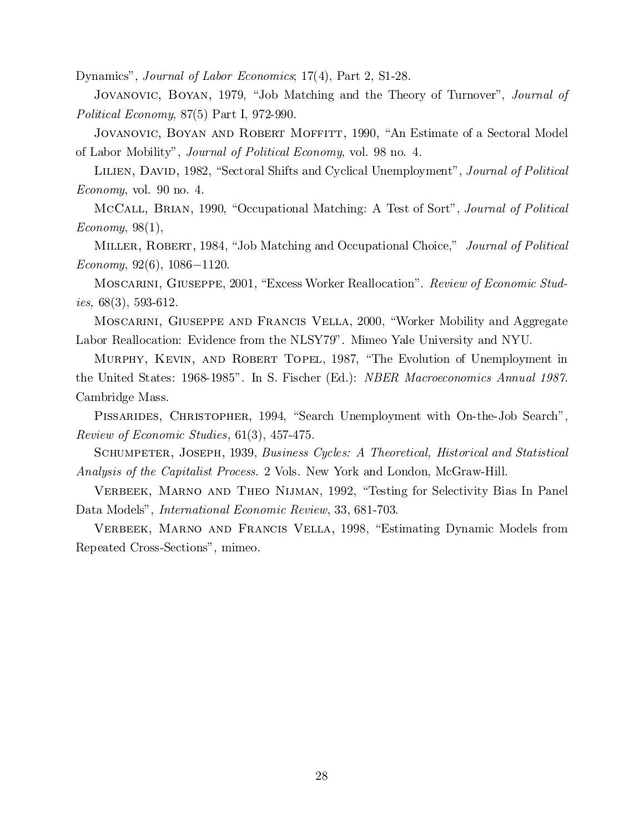Dynamics", Journal of Labor Economics; 17(4), Part 2, S1-28.

Jovanovic, Boyan, 1979, "Job Matching and the Theory of Turnover", *Journal of* Political Economy, 87(5) Part I, 972-990.

Jovanovic, Boyan and Robert Moffitt, 1990, "An Estimate of a Sectoral Model of Labor Mobility", Journal of Political Economy, vol. 98 no. 4.

LILIEN, DAVID, 1982, "Sectoral Shifts and Cyclical Unemployment", Journal of Political Economy, vol. 90 no. 4.

McCall, BRIAN, 1990, "Occupational Matching: A Test of Sort", *Journal of Political*  $Economy, 98(1),$ 

MILLER, ROBERT, 1984, "Job Matching and Occupational Choice," *Journal of Political*  $Economy, 92(6), 1086-1120.$ 

Moscarini, Giuseppe, 2001, "Excess Worker Reallocation". *Review of Economic Studies*,  $68(3)$ ,  $593-612$ .

Moscarini, Giuseppe and Francis Vella, 2000, "Worker Mobility and Aggregate Labor Reallocation: Evidence from the NLSY79". Mimeo Yale University and NYU.

MURPHY, KEVIN, AND ROBERT TOPEL, 1987, "The Evolution of Unemployment in the United States: 1968-1985". In S. Fischer (Ed.): NBER Macroeconomics Annual 1987. Cambridge Mass.

PISSARIDES, CHRISTOPHER, 1994, "Search Unemployment with On-the-Job Search", Review of Economic Studies, 61(3), 457-475.

Schumpeter, Joseph, 1939, Business Cycles: A Theoretical, Historical and Statistical Analysis of the Capitalist Process. 2 Vols. New York and London, McGraw-Hill.

VERBEEK, MARNO AND THEO NIJMAN, 1992, "Testing for Selectivity Bias In Panel Data Models", International Economic Review, 33, 681-703.

VERBEEK, MARNO AND FRANCIS VELLA, 1998, "Estimating Dynamic Models from Repeated Cross-Sections", mimeo.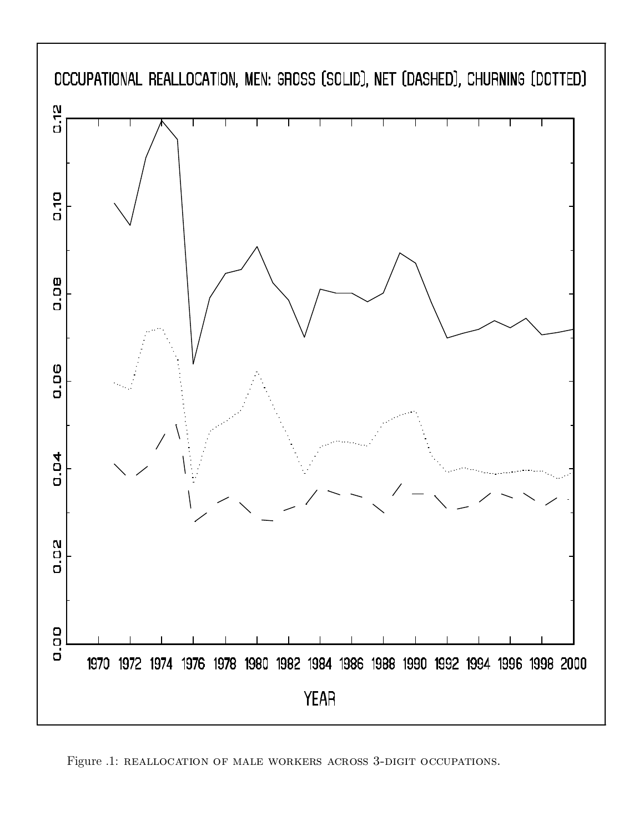

Figure .1: REALLOCATION OF MALE WORKERS ACROSS 3-DIGIT OCCUPATIONS.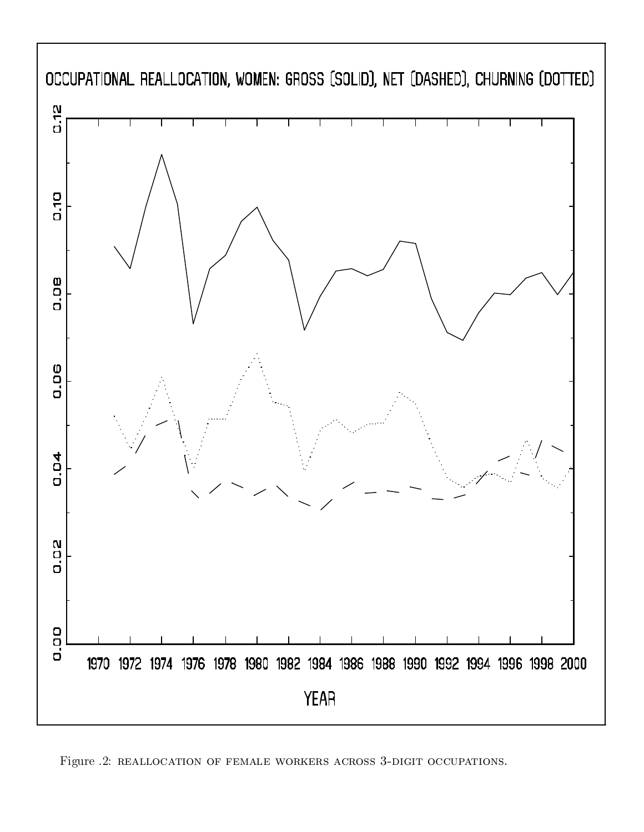

Figure .2: reallocation of female workers across 3-digit occupations.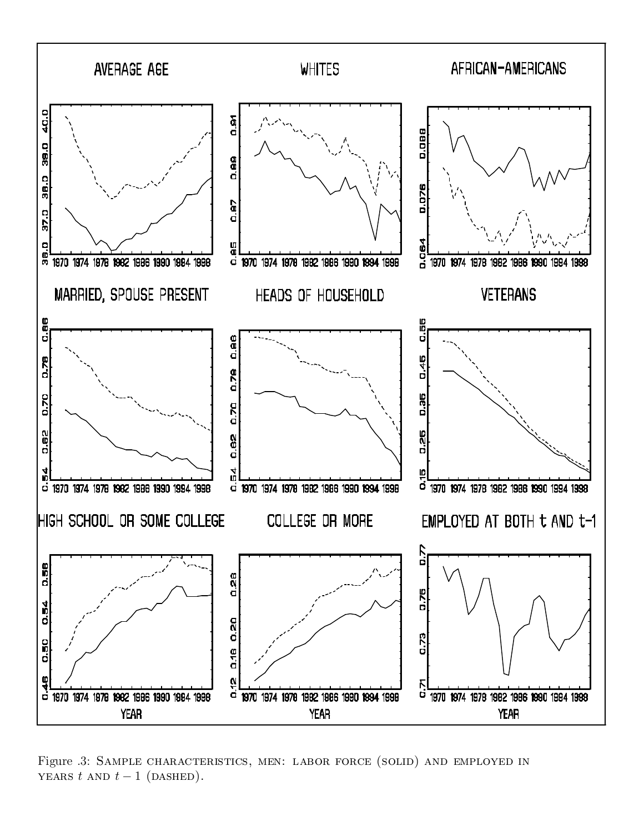

Figure .3: SAMPLE CHARACTERISTICS, MEN: LABOR FORCE (SOLID) AND EMPLOYED IN YEARS  $t$  AND  $t-1$  (DASHED).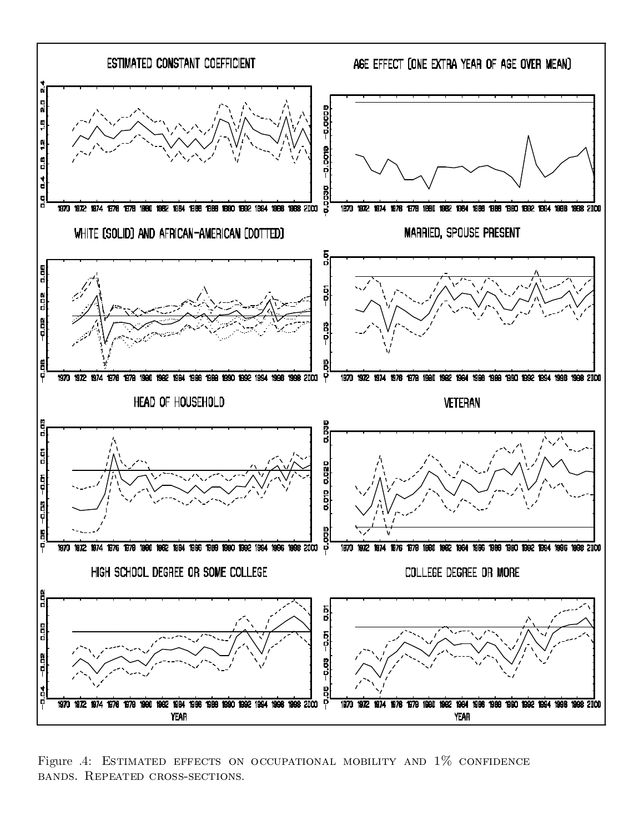

Figure .4: ESTIMATED EFFECTS ON OCCUPATIONAL MOBILITY AND  $1\%$  CONFIDENCE bands. Repeated cross-sections.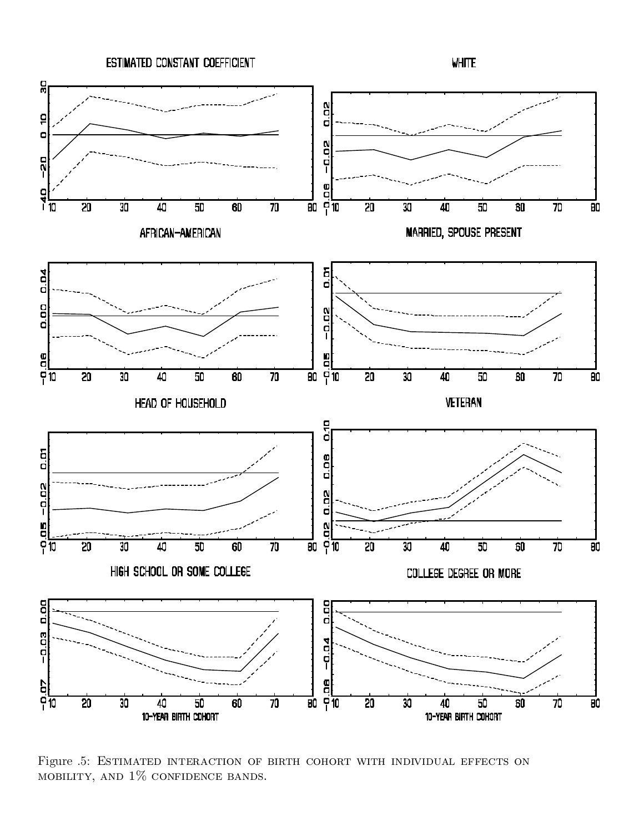

Figure .5: Estimated interaction of birth cohort with individual effects on mobility, and 1% confidence bands.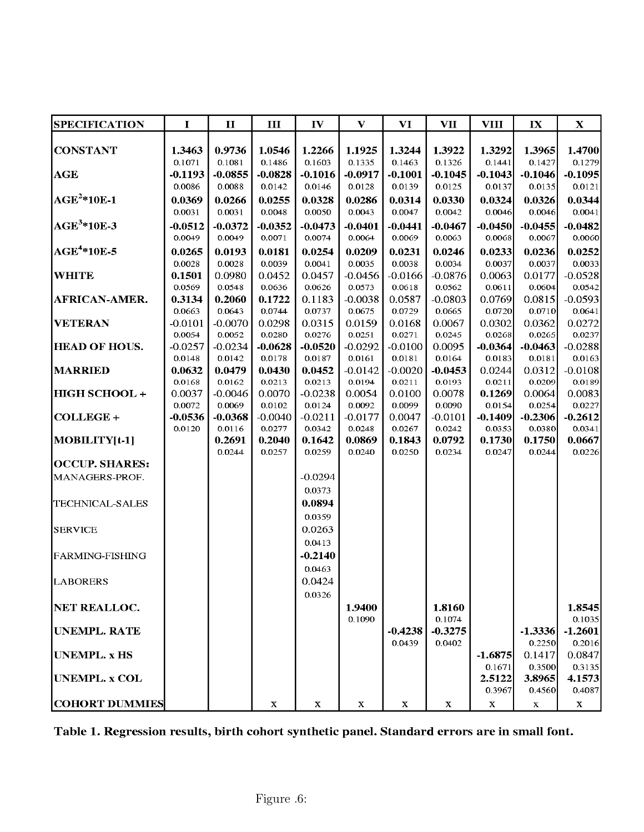| <b>SPECIFICATION</b>            | $\bf{I}$          | $\mathbf H$         | Ш                   | $\mathbf{IV}$        | $\mathbf{V}$        | VI                  | $\mathbf{V}\mathbf{I}\mathbf{I}$ | VIII                | $\mathbf{I}$        | $\mathbf X$         |
|---------------------------------|-------------------|---------------------|---------------------|----------------------|---------------------|---------------------|----------------------------------|---------------------|---------------------|---------------------|
|                                 |                   |                     |                     |                      |                     |                     |                                  |                     |                     |                     |
| <b>CONSTANT</b>                 | 1.3463            | 0.9736              | 1.0546              | 1.2266               | 1.1925              | 1.3244              | 1.3922                           | 1.3292              | 1.3965              | 1.4700              |
| AGE                             | 0.1071<br>-0.1193 | 0.1081<br>$-0.0855$ | 0.1486<br>$-0.0828$ | 0.1603<br>-0.1016    | 0.1335<br>$-0.0917$ | 0.1463<br>$-0.1001$ | 0.1326<br>-0.1045                | 0.1441<br>$-0.1043$ | 0.1427<br>$-0.1046$ | 0.1279<br>$-0.1095$ |
|                                 | 0.0086            | 0.0088              | 0.0142              | 0.0146               | 0.0128              | 0.0139              | 0.0125                           | 0.0137              | 0.0135              | 0.0121              |
| $\mathbf{AGE}^2*10\mathbf{E-1}$ | 0.0369            | 0.0266              | 0.0255              | 0.0328               | 0.0286              | 0.0314              | 0.0330                           | 0.0324              | 0.0326              | 0.0344              |
|                                 | 0.0031            | 0.0031              | 0.0048              | 0.0050               | 0.0043              | 0.0047              | 0.0042                           | 0.0046              | 0.0046              | 0.0041              |
| $AGE3*10E-3$                    | $-0.0512$         | $-0.0372$           | $-0.0352$           | $-0.0473$            | $-0.0401$           | $-0.0441$           | $-0.0467$                        | $-0.0450$           | $-0.0455$           | $-0.0482$           |
|                                 | 0.0049            | 0.0049              | 0.0071              | 0.0074               | 0.0064              | 0.0069              | 0.0063                           | 0.0068              | 0.0067              | 0.0060              |
| $\text{AGE}^{4*10E-5}$          | 0.0265            | 0.0193              | 0.0181              | 0.0254               | 0.0209              | 0.0231              | 0.0246                           | 0.0233              | 0.0236              | 0.0252              |
|                                 | 0.0028            | 0.0028              | 0.0039              | 0.0041               | 0.0035              | 0.0038              | 0.0034                           | 0.0037              | 0.0037              | 0.0033              |
| <b>WHITE</b>                    | 0.1501            | 0.0980              | 0.0452              | 0.0457               | $-0.0456$           | -0.0166             | $-0.0876$                        | 0.0063              | 0.0177              | $-0.0528$           |
|                                 | 0.0569            | 0.0548              | 0.0636              | 0.0626               | 0.0573              | 0.0618              | 0.0562                           | 0.0611              | 0.0604              | 0.0542              |
| AFRICAN-AMER.                   | 0.3134            | 0.2060              | 0.1722              | 0.1183               | $-0.0038$           | 0.0587              | $-0.0803$                        | 0.0769              | 0.0815              | $-0.0593$           |
|                                 | 0.0663            | 0.0643              | 0.0744              | 0.0737               | 0.0675              | 0.0729              | 0.0665                           | 0.0720              | 0.0710              | 0.0641              |
| <b>VETERAN</b>                  | $-0.0101$         | $-0.0070$           | 0.0298              | 0.0315               | 0.0159              | 0.0168              | 0.0067                           | 0.0302              | 0.0362              | 0.0272              |
|                                 | 0.0054            | 0.0052              | 0.0280              | 0.0276               | 0.0251              | 0.0271              | 0.0245                           | 0.0268              | 0.0265              | 0.0237              |
| <b>HEAD OF HOUS.</b>            | $-0.0257$         | $-0.0234$           | $-0.0628$           | $-0.0520$            | $-0.0292$           | $-0.0100$           | 0.0095<br>0.0164                 | $-0.0364$           | $-0.0463$           | $-0.0288$           |
| <b>MARRIED</b>                  | 0.0148<br>0.0632  | 0.0142<br>0.0479    | 0.0178<br>0.0430    | $0.0187\,$<br>0.0452 | 0.0161<br>$-0.0142$ | 0.0181<br>$-0.0020$ | $-0.0453$                        | 0.0183<br>0.0244    | 0.0181<br>0.0312    | 0.0163<br>$-0.0108$ |
|                                 | 0.0168            | 0.0162              | 0.0213              | 0.0213               | 0.0194              | 0.0211              | 0.0193                           | 0.0211              | 0.0209              | 0.0189              |
| HIGH SCHOOL+                    | 0.0037            | -0.0046             | 0.0070              | $-0.0238$            | 0.0054              | 0.0100              | 0.0078                           | 0.1269              | 0.0064              | 0.0083              |
|                                 | 0.0072            | 0.0069              | 0.0102              | 0.0124               | 0.0092              | 0.0099              | 0.0090                           | 0.0154              | 0.0254              | 0.0227              |
| COLLEGE+                        | -0.0536           | $-0.0368$           | $-0.0040$           | $-0.0211$            | $-0.0177$           | 0.0047              | $-0.0101$                        | $-0.1409$           | $-0.2306$           | $-0.2612$           |
|                                 | 0.0120            | 0.0116              | 0.0277              | 0.0342               | 0.0248              | 0.0267              | 0.0242                           | 0.0353              | 0.0380              | 0.0341              |
| $MOBLLITY[t-1]$                 |                   | 0.2691              | 0.2040              | 0.1642               | 0.0869              | 0.1843              | 0.0792                           | 0.1730              | 0.1750              | 0.0667              |
|                                 |                   | 0.0244              | 0.0257              | 0.0259               | 0.0240              | 0.0250              | 0.0234                           | 0.0247              | 0.0244              | 0.0226              |
| <b>OCCUP. SHARES:</b>           |                   |                     |                     |                      |                     |                     |                                  |                     |                     |                     |
| MANAGERS-PROF.                  |                   |                     |                     | $-0.0294$            |                     |                     |                                  |                     |                     |                     |
|                                 |                   |                     |                     | 0.0373               |                     |                     |                                  |                     |                     |                     |
| TECHNICAL-SALES                 |                   |                     |                     | 0.0894               |                     |                     |                                  |                     |                     |                     |
|                                 |                   |                     |                     | 0.0359               |                     |                     |                                  |                     |                     |                     |
| <b>SERVICE</b>                  |                   |                     |                     | 0.0263               |                     |                     |                                  |                     |                     |                     |
|                                 |                   |                     |                     | 0.0413               |                     |                     |                                  |                     |                     |                     |
| <b>FARMING-FISHING</b>          |                   |                     |                     | -0.2140              |                     |                     |                                  |                     |                     |                     |
|                                 |                   |                     |                     | 0.0463               |                     |                     |                                  |                     |                     |                     |
| <b>LABORERS</b>                 |                   |                     |                     | 0.0424               |                     |                     |                                  |                     |                     |                     |
|                                 |                   |                     |                     | 0.0326               |                     |                     |                                  |                     |                     |                     |
| <b>NET REALLOC.</b>             |                   |                     |                     |                      | 1.9400              |                     | 1.8160                           |                     |                     | 1.8545              |
|                                 |                   |                     |                     |                      | 0.1090              |                     | 0.1074                           |                     |                     | 0.1035              |
| UNEMPL. RATE                    |                   |                     |                     |                      |                     | $-0.4238$<br>0.0439 | $-0.3275$<br>0.0402              |                     | $-1.3336$<br>0.2250 | $-1.2601$<br>0.2016 |
| <b>UNEMPL. x HS</b>             |                   |                     |                     |                      |                     |                     |                                  | $-1.6875$           | 0.1417              | 0.0847              |
|                                 |                   |                     |                     |                      |                     |                     |                                  | 0.1671              | 0.3500              | 0.3135              |
| UNEMPL. x COL                   |                   |                     |                     |                      |                     |                     |                                  | 2.5122              | 3.8965              | 4.1573              |
|                                 |                   |                     |                     |                      |                     |                     |                                  | 0.3967              | 0.4560              | 0.4087              |
| <b>COHORT DUMMIES</b>           |                   |                     | X                   | X                    | X                   | X                   | х                                | $\mathbf X$         | X                   | X                   |

Table 1. Regression results, birth cohort synthetic panel. Standard errors are in small font.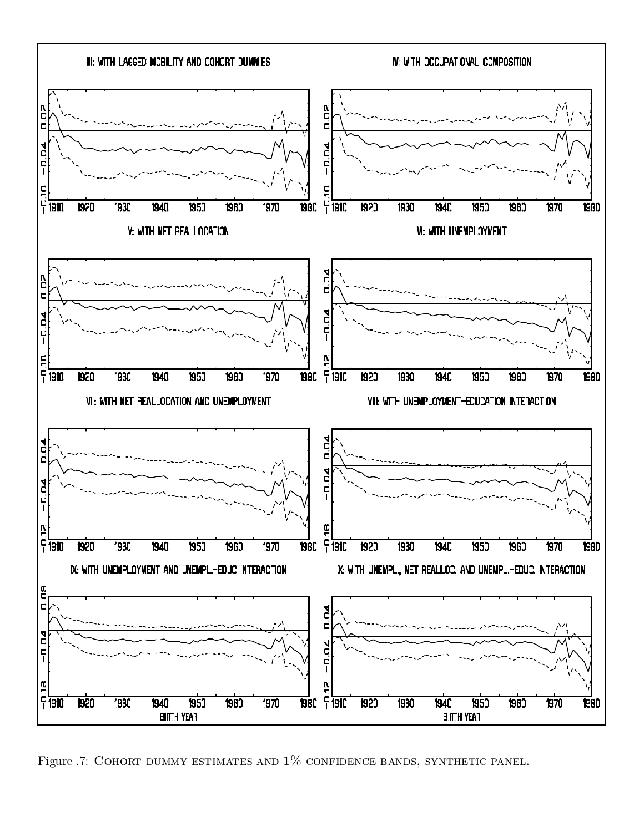

Figure .7: COHORT DUMMY ESTIMATES AND  $1\%$  CONFIDENCE BANDS, SYNTHETIC PANEL.